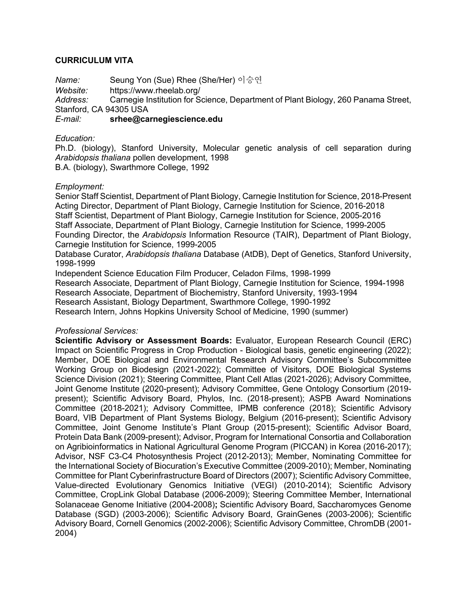# **CURRICULUM VITA**

*Name:* Seung Yon (Sue) Rhee (She/Her) 이승연 *Website:* https://www.rheelab.org/ *Address:* Carnegie Institution for Science, Department of Plant Biology, 260 Panama Street, Stanford, CA 94305 USA *E-mail:* **srhee@carnegiescience.edu**

*Education:*

Ph.D. (biology), Stanford University, Molecular genetic analysis of cell separation during *Arabidopsis thaliana* pollen development, 1998 B.A. (biology), Swarthmore College, 1992

*Employment:*

Senior Staff Scientist, Department of Plant Biology, Carnegie Institution for Science, 2018-Present Acting Director, Department of Plant Biology, Carnegie Institution for Science, 2016-2018 Staff Scientist, Department of Plant Biology, Carnegie Institution for Science, 2005-2016 Staff Associate, Department of Plant Biology, Carnegie Institution for Science, 1999-2005 Founding Director, the *Arabidopsis* Information Resource (TAIR), Department of Plant Biology, Carnegie Institution for Science, 1999-2005

Database Curator, *Arabidopsis thaliana* Database (AtDB), Dept of Genetics, Stanford University, 1998-1999

Independent Science Education Film Producer, Celadon Films, 1998-1999 Research Associate, Department of Plant Biology, Carnegie Institution for Science, 1994-1998 Research Associate, Department of Biochemistry, Stanford University, 1993-1994 Research Assistant, Biology Department, Swarthmore College, 1990-1992 Research Intern, Johns Hopkins University School of Medicine, 1990 (summer)

### *Professional Services:*

**Scientific Advisory or Assessment Boards:** Evaluator, European Research Council (ERC) Impact on Scientific Progress in Crop Production - Biological basis, genetic engineering (2022); Member, DOE Biological and Environmental Research Advisory Committee's Subcommittee Working Group on Biodesign (2021-2022); Committee of Visitors, DOE Biological Systems Science Division (2021); Steering Committee, Plant Cell Atlas (2021-2026); Advisory Committee, Joint Genome Institute (2020-present); Advisory Committee, Gene Ontology Consortium (2019 present); Scientific Advisory Board, Phylos, Inc. (2018-present); ASPB Award Nominations Committee (2018-2021); Advisory Committee, IPMB conference (2018); Scientific Advisory Board, VIB Department of Plant Systems Biology, Belgium (2016-present); Scientific Advisory Committee, Joint Genome Institute's Plant Group (2015-present); Scientific Advisor Board, Protein Data Bank (2009-present); Advisor, Program for International Consortia and Collaboration on Agribioinformatics in National Agricultural Genome Program (PICCAN) in Korea (2016-2017); Advisor, NSF C3-C4 Photosynthesis Project (2012-2013); Member, Nominating Committee for the International Society of Biocuration's Executive Committee (2009-2010); Member, Nominating Committee for Plant Cyberinfrastructure Board of Directors (2007); Scientific Advisory Committee, Value-directed Evolutionary Genomics Initiative (VEGI) (2010-2014); Scientific Advisory Committee, CropLink Global Database (2006-2009); Steering Committee Member, International Solanaceae Genome Initiative (2004-2008)**;** Scientific Advisory Board, Saccharomyces Genome Database (SGD) (2003-2006); Scientific Advisory Board, GrainGenes (2003-2006); Scientific Advisory Board, Cornell Genomics (2002-2006); Scientific Advisory Committee, ChromDB (2001- 2004)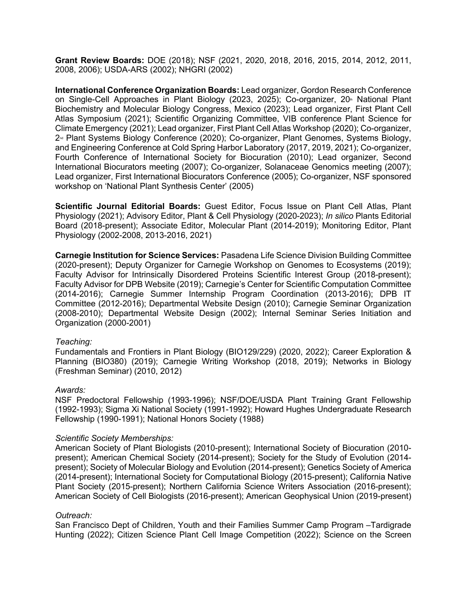**Grant Review Boards:** DOE (2018); NSF (2021, 2020, 2018, 2016, 2015, 2014, 2012, 2011, 2008, 2006); USDA-ARS (2002); NHGRI (2002)

**International Conference Organization Boards:** Lead organizer, Gordon Research Conference on Single-Cell Approaches in Plant Biology (2023, 2025); Co-organizer, 20<sup>th</sup> National Plant Biochemistry and Molecular Biology Congress, Mexico (2023); Lead organizer, First Plant Cell Atlas Symposium (2021); Scientific Organizing Committee, VIB conference Plant Science for Climate Emergency (2021); Lead organizer, First Plant Cell Atlas Workshop (2020); Co-organizer, 2<sup>nd</sup> Plant Systems Biology Conference (2020); Co-organizer, Plant Genomes, Systems Biology, and Engineering Conference at Cold Spring Harbor Laboratory (2017, 2019, 2021); Co-organizer, Fourth Conference of International Society for Biocuration (2010); Lead organizer, Second International Biocurators meeting (2007); Co-organizer, Solanaceae Genomics meeting (2007); Lead organizer, First International Biocurators Conference (2005); Co-organizer, NSF sponsored workshop on 'National Plant Synthesis Center' (2005)

**Scientific Journal Editorial Boards:** Guest Editor, Focus Issue on Plant Cell Atlas, Plant Physiology (2021); Advisory Editor, Plant & Cell Physiology (2020-2023); *In silico* Plants Editorial Board (2018-present); Associate Editor, Molecular Plant (2014-2019); Monitoring Editor, Plant Physiology (2002-2008, 2013-2016, 2021)

**Carnegie Institution for Science Services:** Pasadena Life Science Division Building Committee (2020-present); Deputy Organizer for Carnegie Workshop on Genomes to Ecosystems (2019); Faculty Advisor for Intrinsically Disordered Proteins Scientific Interest Group (2018-present); Faculty Advisor for DPB Website (2019); Carnegie's Center for Scientific Computation Committee (2014-2016); Carnegie Summer Internship Program Coordination (2013-2016); DPB IT Committee (2012-2016); Departmental Website Design (2010); Carnegie Seminar Organization (2008-2010); Departmental Website Design (2002); Internal Seminar Series Initiation and Organization (2000-2001)

### *Teaching:*

Fundamentals and Frontiers in Plant Biology (BIO129/229) (2020, 2022); Career Exploration & Planning (BIO380) (2019); Carnegie Writing Workshop (2018, 2019); Networks in Biology (Freshman Seminar) (2010, 2012)

### *Awards:*

NSF Predoctoral Fellowship (1993-1996); NSF/DOE/USDA Plant Training Grant Fellowship (1992-1993); Sigma Xi National Society (1991-1992); Howard Hughes Undergraduate Research Fellowship (1990-1991); National Honors Society (1988)

#### *Scientific Society Memberships:*

American Society of Plant Biologists (2010-present); International Society of Biocuration (2010 present); American Chemical Society (2014-present); Society for the Study of Evolution (2014 present); Society of Molecular Biology and Evolution (2014-present); Genetics Society of America (2014-present); International Society for Computational Biology (2015-present); California Native Plant Society (2015-present); Northern California Science Writers Association (2016-present); American Society of Cell Biologists (2016-present); American Geophysical Union (2019-present)

### *Outreach:*

San Francisco Dept of Children, Youth and their Families Summer Camp Program –Tardigrade Hunting (2022); Citizen Science Plant Cell Image Competition (2022); Science on the Screen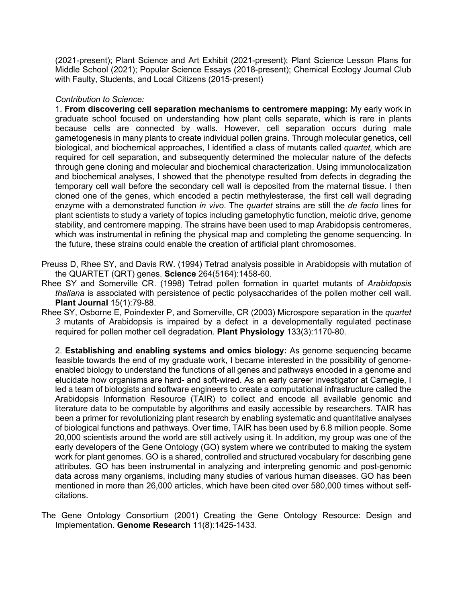(2021-present); Plant Science and Art Exhibit (2021-present); Plant Science Lesson Plans for Middle School (2021); Popular Science Essays (2018-present); Chemical Ecology Journal Club with Faulty, Students, and Local Citizens (2015-present)

#### *Contribution to Science:*

1. **From discovering cell separation mechanisms to centromere mapping:** My early work in graduate school focused on understanding how plant cells separate, which is rare in plants because cells are connected by walls. However, cell separation occurs during male gametogenesis in many plants to create individual pollen grains. Through molecular genetics, cell biological, and biochemical approaches, I identified a class of mutants called *quartet,* which are required for cell separation, and subsequently determined the molecular nature of the defects through gene cloning and molecular and biochemical characterization. Using immunolocalization and biochemical analyses, I showed that the phenotype resulted from defects in degrading the temporary cell wall before the secondary cell wall is deposited from the maternal tissue. I then cloned one of the genes, which encoded a pectin methylesterase, the first cell wall degrading enzyme with a demonstrated function *in vivo*. The *quartet* strains are still the *de facto* lines for plant scientists to study a variety of topics including gametophytic function, meiotic drive, genome stability, and centromere mapping. The strains have been used to map Arabidopsis centromeres, which was instrumental in refining the physical map and completing the genome sequencing. In the future, these strains could enable the creation of artificial plant chromosomes.

- Preuss D, Rhee SY, and Davis RW. (1994) Tetrad analysis possible in Arabidopsis with mutation of the QUARTET (QRT) genes. **Science** 264(5164):1458-60.
- Rhee SY and Somerville CR. (1998) Tetrad pollen formation in quartet mutants of *Arabidopsis thaliana* is associated with persistence of pectic polysaccharides of the pollen mother cell wall. **Plant Journal** 15(1):79-88.
- Rhee SY, Osborne E, Poindexter P, and Somerville, CR (2003) Microspore separation in the *quartet 3* mutants of Arabidopsis is impaired by a defect in a developmentally regulated pectinase required for pollen mother cell degradation. **Plant Physiology** 133(3):1170-80.

2. **Establishing and enabling systems and omics biology:** As genome sequencing became feasible towards the end of my graduate work, I became interested in the possibility of genomeenabled biology to understand the functions of all genes and pathways encoded in a genome and elucidate how organisms are hard- and soft-wired. As an early career investigator at Carnegie, I led a team of biologists and software engineers to create a computational infrastructure called the Arabidopsis Information Resource (TAIR) to collect and encode all available genomic and literature data to be computable by algorithms and easily accessible by researchers. TAIR has been a primer for revolutionizing plant research by enabling systematic and quantitative analyses of biological functions and pathways. Over time, TAIR has been used by 6.8 million people. Some 20,000 scientists around the world are still actively using it. In addition, my group was one of the early developers of the Gene Ontology (GO) system where we contributed to making the system work for plant genomes. GO is a shared, controlled and structured vocabulary for describing gene attributes. GO has been instrumental in analyzing and interpreting genomic and post-genomic data across many organisms, including many studies of various human diseases. GO has been mentioned in more than 26,000 articles, which have been cited over 580,000 times without selfcitations.

The Gene Ontology Consortium (2001) Creating the Gene Ontology Resource: Design and Implementation. **Genome Research** 11(8):1425-1433.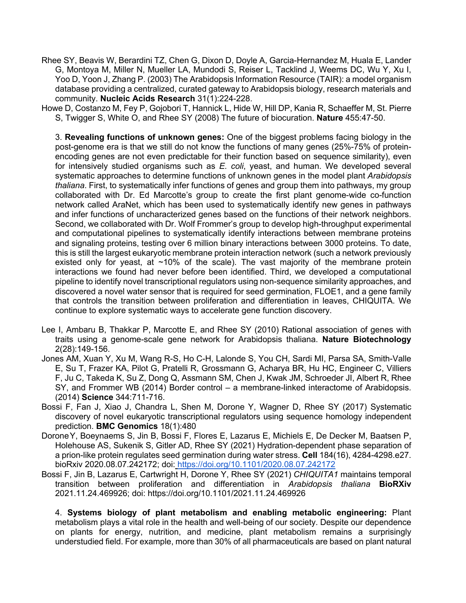Rhee SY, Beavis W, Berardini TZ, Chen G, Dixon D, Doyle A, Garcia-Hernandez M, Huala E, Lander G, Montoya M, Miller N, Mueller LA, Mundodi S, Reiser L, Tacklind J, Weems DC, Wu Y, Xu I, Yoo D, Yoon J, Zhang P. (2003) The Arabidopsis Information Resource (TAIR): a model organism database providing a centralized, curated gateway to Arabidopsis biology, research materials and community. **Nucleic Acids Research** 31(1):224-228.

Howe D, Costanzo M, Fey P, Gojobori T, Hannick L, Hide W, Hill DP, Kania R, Schaeffer M, St. Pierre S, Twigger S, White O, and Rhee SY (2008) The future of biocuration. **Nature** 455:47-50.

3. **Revealing functions of unknown genes:** One of the biggest problems facing biology in the post-genome era is that we still do not know the functions of many genes (25%-75% of proteinencoding genes are not even predictable for their function based on sequence similarity), even for intensively studied organisms such as *E. coli*, yeast, and human. We developed several systematic approaches to determine functions of unknown genes in the model plant *Arabidopsis thaliana*. First, to systematically infer functions of genes and group them into pathways, my group collaborated with Dr. Ed Marcotte's group to create the first plant genome-wide co-function network called AraNet, which has been used to systematically identify new genes in pathways and infer functions of uncharacterized genes based on the functions of their network neighbors. Second, we collaborated with Dr. Wolf Frommer's group to develop high-throughput experimental and computational pipelines to systematically identify interactions between membrane proteins and signaling proteins, testing over 6 million binary interactions between 3000 proteins. To date, this is still the largest eukaryotic membrane protein interaction network (such a network previously existed only for yeast, at  $~10\%$  of the scale). The vast majority of the membrane protein interactions we found had never before been identified. Third, we developed a computational pipeline to identify novel transcriptional regulators using non-sequence similarity approaches, and discovered a novel water sensor that is required for seed germination, FLOE1, and a gene family that controls the transition between proliferation and differentiation in leaves, CHIQUITA. We continue to explore systematic ways to accelerate gene function discovery.

- Lee I, Ambaru B, Thakkar P, Marcotte E, and Rhee SY (2010) Rational association of genes with traits using a genome-scale gene network for Arabidopsis thaliana. **Nature Biotechnology** 2(28):149-156.
- Jones AM, Xuan Y, Xu M, Wang R-S, Ho C-H, Lalonde S, You CH, Sardi MI, Parsa SA, Smith-Valle E, Su T, Frazer KA, Pilot G, Pratelli R, Grossmann G, Acharya BR, Hu HC, Engineer C, Villiers F, Ju C, Takeda K, Su Z, Dong Q, Assmann SM, Chen J, Kwak JM, Schroeder JI, Albert R, Rhee SY, and Frommer WB (2014) Border control – a membrane-linked interactome of Arabidopsis. (2014) **Science** 344:711-716.
- Bossi F, Fan J, Xiao J, Chandra L, Shen M, Dorone Y, Wagner D, Rhee SY (2017) Systematic discovery of novel eukaryotic transcriptional regulators using sequence homology independent prediction. **BMC Genomics** 18(1):480
- DoroneY, Boeynaems S, Jin B, Bossi F, Flores E, Lazarus E, Michiels E, De Decker M, Baatsen P, Holehouse AS, Sukenik S, Gitler AD, Rhee SY (2021) Hydration-dependent phase separation of a prion-like protein regulates seed germination during water stress. **Cell** 184(16), 4284-4298.e27. bioRxiv 2020.08.07.242172; doi: https://doi.org/10.1101/2020.08.07.242172
- Bossi F, Jin B, Lazarus E, Cartwright H, Dorone Y, Rhee SY (2021) *CHIQUITA1* maintains temporal transition between proliferation and differentiation in *Arabidopsis thaliana* **BioRXiv** 2021.11.24.469926; doi: https://doi.org/10.1101/2021.11.24.469926

4. **Systems biology of plant metabolism and enabling metabolic engineering:** Plant metabolism plays a vital role in the health and well-being of our society. Despite our dependence on plants for energy, nutrition, and medicine, plant metabolism remains a surprisingly understudied field. For example, more than 30% of all pharmaceuticals are based on plant natural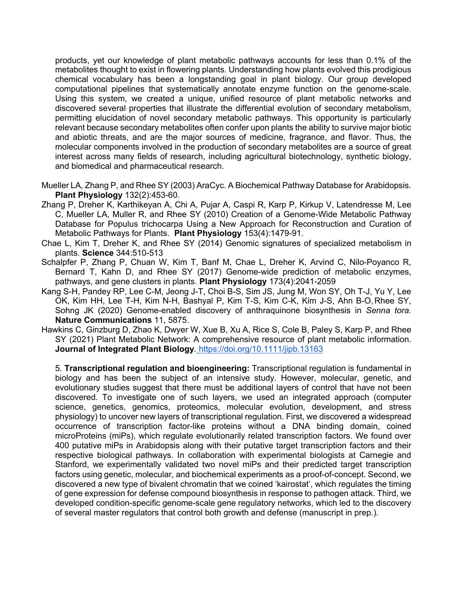products, yet our knowledge of plant metabolic pathways accounts for less than 0.1% of the metabolites thought to exist in flowering plants. Understanding how plants evolved this prodigious chemical vocabulary has been a longstanding goal in plant biology. Our group developed computational pipelines that systematically annotate enzyme function on the genome-scale. Using this system, we created a unique, unified resource of plant metabolic networks and discovered several properties that illustrate the differential evolution of secondary metabolism, permitting elucidation of novel secondary metabolic pathways. This opportunity is particularly relevant because secondary metabolites often confer upon plants the ability to survive major biotic and abiotic threats, and are the major sources of medicine, fragrance, and flavor. Thus, the molecular components involved in the production of secondary metabolites are a source of great interest across many fields of research, including agricultural biotechnology, synthetic biology, and biomedical and pharmaceutical research.

- Mueller LA, Zhang P, and Rhee SY (2003) AraCyc. A Biochemical Pathway Database for Arabidopsis. **Plant Physiology** 132(2):453-60.
- Zhang P, Dreher K, Karthikeyan A, Chi A, Pujar A, Caspi R, Karp P, Kirkup V, Latendresse M, Lee C, Mueller LA, Muller R, and Rhee SY (2010) Creation of a Genome-Wide Metabolic Pathway Database for Populus trichocarpa Using a New Approach for Reconstruction and Curation of Metabolic Pathways for Plants. **Plant Physiology** 153(4):1479-91.
- Chae L, Kim T, Dreher K, and Rhee SY (2014) Genomic signatures of specialized metabolism in plants. **Science** 344:510-513
- Schalpfer P, Zhang P, Chuan W, Kim T, Banf M, Chae L, Dreher K, Arvind C, Nilo-Poyanco R, Bernard T, Kahn D, and Rhee SY (2017) Genome-wide prediction of metabolic enzymes, pathways, and gene clusters in plants. **Plant Physiology** 173(4):2041-2059
- Kang S-H, Pandey RP, Lee C-M, Jeong J-T, Choi B-S, Sim JS, Jung M, Won SY, Oh T-J, Yu Y, Lee OK, Kim HH, Lee T-H, Kim N-H, Bashyal P, Kim T-S, Kim C-K, Kim J-S, Ahn B-O,Rhee SY, Sohng JK (2020) Genome-enabled discovery of anthraquinone biosynthesis in *Senna tora.* **Nature Communications** 11, 5875.
- Hawkins C, Ginzburg D, Zhao K, Dwyer W, Xue B, Xu A, Rice S, Cole B, Paley S, Karp P, and Rhee SY (2021) Plant Metabolic Network: A comprehensive resource of plant metabolic information. **Journal of Integrated Plant Biology***.* https://doi.org/10.1111/jipb.13163

5. **Transcriptional regulation and bioengineering:** Transcriptional regulation is fundamental in biology and has been the subject of an intensive study. However, molecular, genetic, and evolutionary studies suggest that there must be additional layers of control that have not been discovered. To investigate one of such layers, we used an integrated approach (computer science, genetics, genomics, proteomics, molecular evolution, development, and stress physiology) to uncover new layers of transcriptional regulation. First, we discovered a widespread occurrence of transcription factor-like proteins without a DNA binding domain, coined microProteins (miPs), which regulate evolutionarily related transcription factors. We found over 400 putative miPs in Arabidopsis along with their putative target transcription factors and their respective biological pathways. In collaboration with experimental biologists at Carnegie and Stanford, we experimentally validated two novel miPs and their predicted target transcription factors using genetic, molecular, and biochemical experiments as a proof-of-concept. Second, we discovered a new type of bivalent chromatin that we coined 'kairostat', which regulates the timing of gene expression for defense compound biosynthesis in response to pathogen attack. Third, we developed condition-specific genome-scale gene regulatory networks, which led to the discovery of several master regulators that control both growth and defense (manuscript in prep.).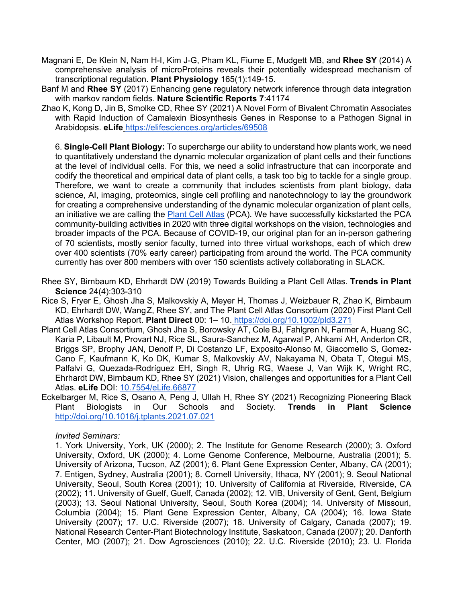- Magnani E, De Klein N, Nam H-I, Kim J-G, Pham KL, Fiume E, Mudgett MB, and **Rhee SY** (2014) A comprehensive analysis of microProteins reveals their potentially widespread mechanism of transcriptional regulation. **Plant Physiology** 165(1):149-15.
- Banf M and **Rhee SY** (2017) Enhancing gene regulatory network inference through data integration with markov random fields. **Nature Scientific Reports 7**:41174
- Zhao K, Kong D, Jin B, Smolke CD, Rhee SY (2021) A Novel Form of Bivalent Chromatin Associates with Rapid Induction of Camalexin Biosynthesis Genes in Response to a Pathogen Signal in Arabidopsis. **eLife** https://elifesciences.org/articles/69508

6. **Single-Cell Plant Biology:** To supercharge our ability to understand how plants work, we need to quantitatively understand the dynamic molecular organization of plant cells and their functions at the level of individual cells. For this, we need a solid infrastructure that can incorporate and codify the theoretical and empirical data of plant cells, a task too big to tackle for a single group. Therefore, we want to create a community that includes scientists from plant biology, data science, AI, imaging, proteomics, single cell profiling and nanotechnology to lay the groundwork for creating a comprehensive understanding of the dynamic molecular organization of plant cells, an initiative we are calling the Plant Cell Atlas (PCA). We have successfully kickstarted the PCA community-building activities in 2020 with three digital workshops on the vision, technologies and broader impacts of the PCA. Because of COVID-19, our original plan for an in-person gathering of 70 scientists, mostly senior faculty, turned into three virtual workshops, each of which drew over 400 scientists (70% early career) participating from around the world. The PCA community currently has over 800 members with over 150 scientists actively collaborating in SLACK.

- Rhee SY, Birnbaum KD, Ehrhardt DW (2019) Towards Building a Plant Cell Atlas. **Trends in Plant Science** 24(4):303-310
- Rice S, Fryer E, Ghosh Jha S, Malkovskiy A, Meyer H, Thomas J, Weizbauer R, Zhao K, Birnbaum KD, Ehrhardt DW, WangZ, Rhee SY, and The Plant Cell Atlas Consortium (2020) First Plant Cell Atlas Workshop Report. **Plant Direct** 00: 1– 10. https://doi.org/10.1002/pld3.271
- Plant Cell Atlas Consortium, Ghosh Jha S, Borowsky AT, Cole BJ, Fahlgren N, Farmer A, Huang SC, Karia P, Libault M, Provart NJ, Rice SL, Saura-Sanchez M, Agarwal P, Ahkami AH, Anderton CR, Briggs SP, Brophy JAN, Denolf P, Di Costanzo LF, Exposito-Alonso M, Giacomello S, Gomez-Cano F, Kaufmann K, Ko DK, Kumar S, Malkovskiy AV, Nakayama N, Obata T, Otegui MS, Palfalvi G, Quezada-Rodríguez EH, Singh R, Uhrig RG, Waese J, Van Wijk K, Wright RC, Ehrhardt DW, Birnbaum KD, Rhee SY (2021) Vision, challenges and opportunities for a Plant Cell Atlas. **eLife** DOI: 10.7554/eLife.66877
- Eckelbarger M, Rice S, Osano A, Peng J, Ullah H, Rhee SY (2021) Recognizing Pioneering Black Plant Biologists in Our Schools and Society. **Trends in Plant Science** http://doi.org/10.1016/j.tplants.2021.07.021

### *Invited Seminars:*

1. York University, York, UK (2000); 2. The Institute for Genome Research (2000); 3. Oxford University, Oxford, UK (2000); 4. Lorne Genome Conference, Melbourne, Australia (2001); 5. University of Arizona, Tucson, AZ (2001); 6. Plant Gene Expression Center, Albany, CA (2001); 7. Entigen, Sydney, Australia (2001); 8. Cornell University, Ithaca, NY (2001); 9. Seoul National University, Seoul, South Korea (2001); 10. University of California at Riverside, Riverside, CA (2002); 11. University of Guelf, Guelf, Canada (2002); 12. VIB, University of Gent, Gent, Belgium (2003); 13. Seoul National University, Seoul, South Korea (2004); 14. University of Missouri, Columbia (2004); 15. Plant Gene Expression Center, Albany, CA (2004); 16. Iowa State University (2007); 17. U.C. Riverside (2007); 18. University of Calgary, Canada (2007); 19. National Research Center-Plant Biotechnology Institute, Saskatoon, Canada (2007); 20. Danforth Center, MO (2007); 21. Dow Agrosciences (2010); 22. U.C. Riverside (2010); 23. U. Florida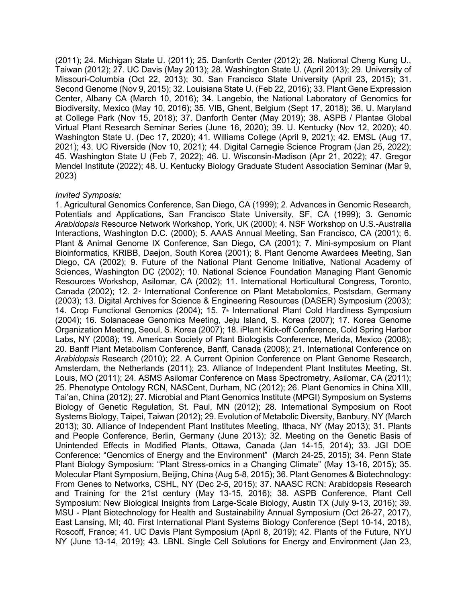(2011); 24. Michigan State U. (2011); 25. Danforth Center (2012); 26. National Cheng Kung U., Taiwan (2012); 27. UC Davis (May 2013); 28. Washington State U. (April 2013); 29. University of Missouri-Columbia (Oct 22, 2013); 30. San Francisco State University (April 23, 2015); 31. Second Genome (Nov 9, 2015); 32. Louisiana State U. (Feb 22, 2016); 33. Plant Gene Expression Center, Albany CA (March 10, 2016); 34. Langebio, the National Laboratory of Genomics for Biodiversity, Mexico (May 10, 2016); 35. VIB, Ghent, Belgium (Sept 17, 2018); 36. U. Maryland at College Park (Nov 15, 2018); 37. Danforth Center (May 2019); 38. ASPB / Plantae Global Virtual Plant Research Seminar Series (June 16, 2020); 39. U. Kentucky (Nov 12, 2020); 40. Washington State U. (Dec 17, 2020); 41. Williams College (April 9, 2021); 42. EMSL (Aug 17, 2021); 43. UC Riverside (Nov 10, 2021); 44. Digital Carnegie Science Program (Jan 25, 2022); 45. Washington State U (Feb 7, 2022); 46. U. Wisconsin-Madison (Apr 21, 2022); 47. Gregor Mendel Institute (2022); 48. U. Kentucky Biology Graduate Student Association Seminar (Mar 9, 2023)

#### *Invited Symposia:*

1. Agricultural Genomics Conference, San Diego, CA (1999); 2. Advances in Genomic Research, Potentials and Applications, San Francisco State University, SF, CA (1999); 3. Genomic *Arabidopsis* Resource Network Workshop, York, UK (2000); 4. NSF Workshop on U.S.-Australia Interactions, Washington D.C. (2000); 5. AAAS Annual Meeting, San Francisco, CA (2001); 6. Plant & Animal Genome IX Conference, San Diego, CA (2001); 7. Mini-symposium on Plant Bioinformatics, KRIBB, Daejon, South Korea (2001); 8. Plant Genome Awardees Meeting, San Diego, CA (2002); 9. Future of the National Plant Genome Initiative, National Academy of Sciences, Washington DC (2002); 10. National Science Foundation Managing Plant Genomic Resources Workshop, Asilomar, CA (2002); 11. International Horticultural Congress, Toronto, Canada (2002): 12. 2<sup>nd</sup> International Conference on Plant Metabolomics, Postsdam, Germany (2003); 13. Digital Archives for Science & Engineering Resources (DASER) Symposium (2003); 14. Crop Functional Genomics (2004); 15. 7<sup>th</sup> International Plant Cold Hardiness Symposium (2004); 16. Solanaceae Genomics Meeting, Jeju Island, S. Korea (2007); 17. Korea Genome Organization Meeting, Seoul, S. Korea (2007); 18. iPlant Kick-off Conference, Cold Spring Harbor Labs, NY (2008); 19. American Society of Plant Biologists Conference, Merida, Mexico (2008); 20. Banff Plant Metabolism Conference, Banff, Canada (2008); 21. International Conference on *Arabidopsis* Research (2010); 22. A Current Opinion Conference on Plant Genome Research, Amsterdam, the Netherlands (2011); 23. Alliance of Independent Plant Institutes Meeting, St. Louis, MO (2011); 24. ASMS Asilomar Conference on Mass Spectrometry, Asilomar, CA (2011); 25. Phenotype Ontology RCN, NASCent, Durham, NC (2012); 26. Plant Genomics in China XIII, Tai'an, China (2012); 27. Microbial and Plant Genomics Institute (MPGI) Symposium on Systems Biology of Genetic Regulation, St. Paul, MN (2012); 28. International Symposium on Root Systems Biology, Taipei, Taiwan (2012); 29. Evolution of Metabolic Diversity, Banbury, NY (March 2013); 30. Alliance of Independent Plant Institutes Meeting, Ithaca, NY (May 2013); 31. Plants and People Conference, Berlin, Germany (June 2013); 32. Meeting on the Genetic Basis of Unintended Effects in Modified Plants, Ottawa, Canada (Jan 14-15, 2014); 33. JGI DOE Conference: "Genomics of Energy and the Environment" (March 24-25, 2015); 34. Penn State Plant Biology Symposium: "Plant Stress-omics in a Changing Climate" (May 13-16, 2015); 35. Molecular Plant Symposium, Beijing, China (Aug 5-8, 2015); 36. Plant Genomes & Biotechnology: From Genes to Networks, CSHL, NY (Dec 2-5, 2015); 37. NAASC RCN: Arabidopsis Research and Training for the 21st century (May 13-15, 2016); 38. ASPB Conference, Plant Cell Symposium: New Biological Insights from Large-Scale Biology, Austin TX (July 9-13, 2016); 39. MSU - Plant Biotechnology for Health and Sustainability Annual Symposium (Oct 26-27, 2017), East Lansing, MI; 40. First International Plant Systems Biology Conference (Sept 10-14, 2018), Roscoff, France; 41. UC Davis Plant Symposium (April 8, 2019); 42. Plants of the Future, NYU NY (June 13-14, 2019); 43. LBNL Single Cell Solutions for Energy and Environment (Jan 23,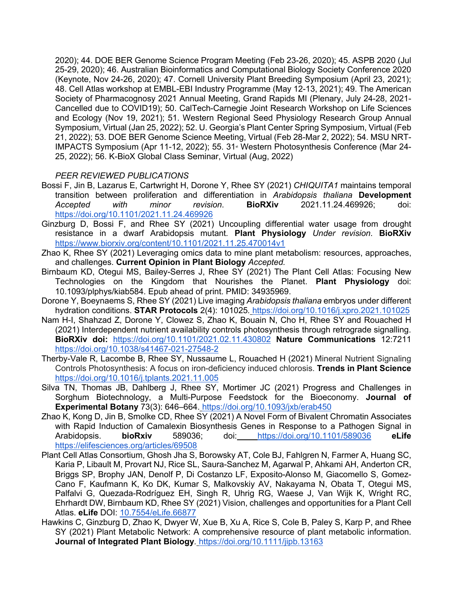2020); 44. DOE BER Genome Science Program Meeting (Feb 23-26, 2020); 45. ASPB 2020 (Jul 25-29, 2020); 46. Australian Bioinformatics and Computational Biology Society Conference 2020 (Keynote, Nov 24-26, 2020); 47. Cornell University Plant Breeding Symposium (April 23, 2021); 48. Cell Atlas workshop at EMBL-EBI Industry Programme (May 12-13, 2021); 49. The American Society of Pharmacognosy 2021 Annual Meeting, Grand Rapids MI (Plenary, July 24-28, 2021- Cancelled due to COVID19); 50. CalTech-Carnegie Joint Research Workshop on Life Sciences and Ecology (Nov 19, 2021); 51. Western Regional Seed Physiology Research Group Annual Symposium, Virtual (Jan 25, 2022); 52. U. Georgia's Plant Center Spring Symposium, Virtual (Feb 21, 2022); 53. DOE BER Genome Science Meeting, Virtual (Feb 28-Mar 2, 2022); 54. MSU NRT-IMPACTS Symposium (Apr 11-12, 2022); 55. 31<sup>st</sup> Western Photosynthesis Conference (Mar 24-25, 2022); 56. K-BioX Global Class Seminar, Virtual (Aug, 2022)

## *PEER REVIEWED PUBLICATIONS*

- Bossi F, Jin B, Lazarus E, Cartwright H, Dorone Y, Rhee SY (2021) *CHIQUITA1* maintains temporal transition between proliferation and differentiation in *Arabidopsis thaliana* **Development** *Accepted with minor revision*. **BioRXiv** 2021.11.24.469926; doi: https://doi.org/10.1101/2021.11.24.469926
- Ginzburg D, Bossi F, and Rhee SY (2021) Uncoupling differential water usage from drought resistance in a dwarf Arabidopsis mutant*.* **Plant Physiology** *Under revision*. **BioRXiv** https://www.biorxiv.org/content/10.1101/2021.11.25.470014v1
- Zhao K, Rhee SY (2021) Leveraging omics data to mine plant metabolism: resources, approaches, and challenges. **Current Opinion in Plant Biology** *Accepted.*
- Birnbaum KD, Otegui MS, Bailey-Serres J, Rhee SY (2021) The Plant Cell Atlas: Focusing New Technologies on the Kingdom that Nourishes the Planet. **Plant Physiology** doi: 10.1093/plphys/kiab584. Epub ahead of print. PMID: 34935969.
- Dorone Y, Boeynaems S, Rhee SY (2021) Live imaging *Arabidopsis thaliana* embryos under different hydration conditions. **STAR Protocols** 2(4): 101025*.* https://doi.org/10.1016/j.xpro.2021.101025
- Nam H-I, Shahzad Z, Dorone Y, Clowez S, Zhao K, Bouain N, Cho H, Rhee SY and Rouached H (2021) Interdependent nutrient availability controls photosynthesis through retrograde signalling. **BioRXiv doi:** https://doi.org/10.1101/2021.02.11.430802 **Nature Communications** 12:7211 https://doi.org/10.1038/s41467-021-27548-2
- Therby-Vale R, Lacombe B, Rhee SY, Nussaume L, Rouached H (2021) Mineral Nutrient Signaling Controls Photosynthesis: A focus on iron-deficiency induced chlorosis. **Trends in Plant Science** https://doi.org/10.1016/j.tplants.2021.11.005
- Silva TN, Thomas JB, Dahlberg J, Rhee SY, Mortimer JC (2021) Progress and Challenges in Sorghum Biotechnology, a Multi-Purpose Feedstock for the Bioeconomy. **Journal of Experimental Botany** 73(3): 646–664. https://doi.org/10.1093/jxb/erab450
- Zhao K, Kong D, Jin B, Smolke CD, Rhee SY (2021) A Novel Form of Bivalent Chromatin Associates with Rapid Induction of Camalexin Biosynthesis Genes in Response to a Pathogen Signal in Arabidopsis. **bioRxiv** 589036; doi: https://doi.org/10.1101/589036 **eLife** https://elifesciences.org/articles/69508
- Plant Cell Atlas Consortium, Ghosh Jha S, Borowsky AT, Cole BJ, Fahlgren N, Farmer A, Huang SC, Karia P, Libault M, Provart NJ, Rice SL, Saura-Sanchez M, Agarwal P, Ahkami AH, Anderton CR, Briggs SP, Brophy JAN, Denolf P, Di Costanzo LF, Exposito-Alonso M, Giacomello S, Gomez-Cano F, Kaufmann K, Ko DK, Kumar S, Malkovskiy AV, Nakayama N, Obata T, Otegui MS, Palfalvi G, Quezada-Rodríguez EH, Singh R, Uhrig RG, Waese J, Van Wijk K, Wright RC, Ehrhardt DW, Birnbaum KD, Rhee SY (2021) Vision, challenges and opportunities for a Plant Cell Atlas. **eLife** DOI: 10.7554/eLife.66877
- Hawkins C, Ginzburg D, Zhao K, Dwyer W, Xue B, Xu A, Rice S, Cole B, Paley S, Karp P, and Rhee SY (2021) Plant Metabolic Network: A comprehensive resource of plant metabolic information. **Journal of Integrated Plant Biology***.* https://doi.org/10.1111/jipb.13163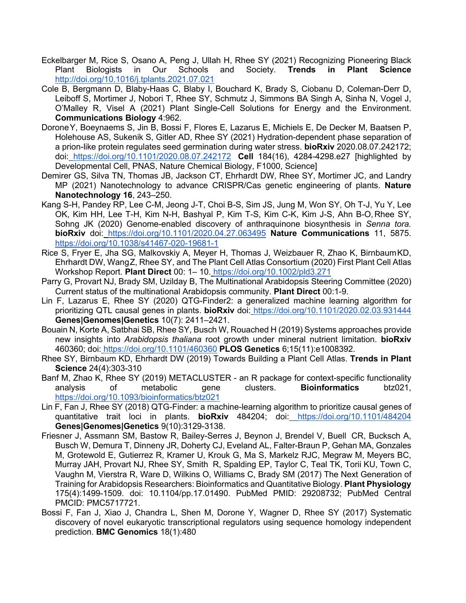- Eckelbarger M, Rice S, Osano A, Peng J, Ullah H, Rhee SY (2021) Recognizing Pioneering Black Plant Biologists in Our Schools and Society. **Trends in Plant Science** http://doi.org/10.1016/j.tplants.2021.07.021
- Cole B, Bergmann D, Blaby-Haas C, Blaby I, Bouchard K, Brady S, Ciobanu D, Coleman-Derr D, Leiboff S, Mortimer J, Nobori T, Rhee SY, Schmutz J, Simmons BA Singh A, Sinha N, Vogel J, O'Malley R, Visel A (2021) Plant Single-Cell Solutions for Energy and the Environment. **Communications Biology** 4:962.
- DoroneY, Boeynaems S, Jin B, Bossi F, Flores E, Lazarus E, Michiels E, De Decker M, Baatsen P, Holehouse AS, Sukenik S, Gitler AD, Rhee SY (2021) Hydration-dependent phase separation of a prion-like protein regulates seed germination during water stress. **bioRxiv** 2020.08.07.242172; doi: https://doi.org/10.1101/2020.08.07.242172 **Cell** 184(16), 4284-4298.e27 [highlighted by Developmental Cell, PNAS, Nature Chemical Biology, F1000, Science]
- Demirer GS, Silva TN, Thomas JB, Jackson CT, Ehrhardt DW, Rhee SY, Mortimer JC, and Landry MP (2021) Nanotechnology to advance CRISPR/Cas genetic engineering of plants. **Nature Nanotechnology 16**, 243–250.
- Kang S-H, Pandey RP, Lee C-M, Jeong J-T, Choi B-S, Sim JS, Jung M, Won SY, Oh T-J, Yu Y, Lee OK, Kim HH, Lee T-H, Kim N-H, Bashyal P, Kim T-S, Kim C-K, Kim J-S, Ahn B-O,Rhee SY, Sohng JK (2020) Genome-enabled discovery of anthraquinone biosynthesis in *Senna tora.* **bioRxiv** doi: https://doi.org/10.1101/2020.04.27.063495 **Nature Communications** 11, 5875. https://doi.org/10.1038/s41467-020-19681-1
- Rice S, Fryer E, Jha SG, Malkovskiy A, Meyer H, Thomas J, Weizbauer R, Zhao K, BirnbaumKD, Ehrhardt DW, WangZ, Rhee SY, and The Plant Cell Atlas Consortium (2020) First Plant Cell Atlas Workshop Report. **Plant Direct** 00: 1– 10. https://doi.org/10.1002/pld3.271
- Parry G, Provart NJ, Brady SM, Uzilday B, The Multinational Arabidopsis Steering Committee (2020) Current status of the multinational Arabidopsis community. **Plant Direct** 00:1-9.
- Lin F, Lazarus E, Rhee SY (2020) QTG-Finder2: a generalized machine learning algorithm for prioritizing QTL causal genes in plants. **bioRxiv** doi: https://doi.org/10.1101/2020.02.03.931444 **Genes|Genomes|Genetics** 10(7): 2411–2421.
- Bouain N, Korte A, Satbhai SB, Rhee SY, Busch W, Rouached H (2019) Systems approaches provide new insights into *Arabidopsis thaliana* root growth under mineral nutrient limitation. **bioRxiv** 460360; doi: https://doi.org/10.1101/460360 **PLOS Genetics** 6;15(11):e1008392.
- Rhee SY, Birnbaum KD, Ehrhardt DW (2019) Towards Building a Plant Cell Atlas. **Trends in Plant Science** 24(4):303-310
- Banf M, Zhao K, Rhee SY (2019) METACLUSTER an R package for context-specific functionality analysis of metabolic gene clusters. **Bioinformatics** btz021, https://doi.org/10.1093/bioinformatics/btz021
- Lin F, Fan J, Rhee SY (2018) QTG-Finder: a machine-learning algorithm to prioritize causal genes of quantitative trait loci in plants. **bioRxiv** 484204; doi: https://doi.org/10.1101/484204 **Genes|Genomes|Genetics** 9(10):3129-3138.
- Friesner J, Assmann SM, Bastow R, Bailey-Serres J, Beynon J, Brendel V, Buell CR, Bucksch A, Busch W, Demura T, Dinneny JR, Doherty CJ, Eveland AL, Falter-Braun P, Gehan MA, Gonzales M, Grotewold E, Gutierrez R, Kramer U, Krouk G, Ma S, Markelz RJC, Megraw M, Meyers BC, Murray JAH, Provart NJ, Rhee SY, Smith R, Spalding EP, Taylor C, Teal TK, Torii KU, Town C, Vaughn M, Vierstra R, Ware D, Wilkins O, Williams C, Brady SM (2017) The Next Generation of Training for Arabidopsis Researchers: Bioinformatics and Quantitative Biology. **Plant Physiology** 175(4):1499-1509. doi: 10.1104/pp.17.01490. PubMed PMID: 29208732; PubMed Central PMCID: PMC5717721.
- Bossi F, Fan J, Xiao J, Chandra L, Shen M, Dorone Y, Wagner D, Rhee SY (2017) Systematic discovery of novel eukaryotic transcriptional regulators using sequence homology independent prediction. **BMC Genomics** 18(1):480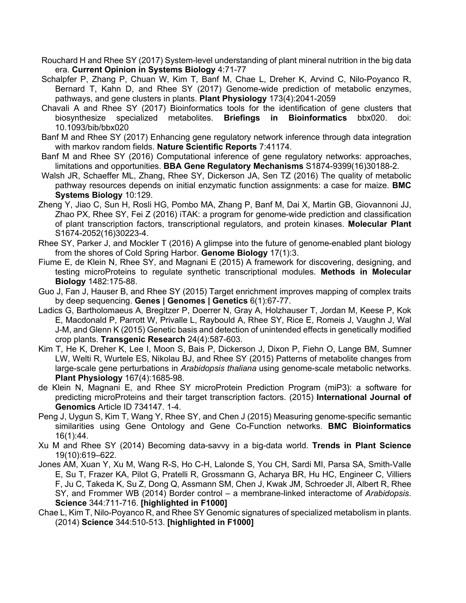- Rouchard H and Rhee SY (2017) System-level understanding of plant mineral nutrition in the big data era. **Current Opinion in Systems Biology** 4:71-77
- Schalpfer P, Zhang P, Chuan W, Kim T, Banf M, Chae L, Dreher K, Arvind C, Nilo-Poyanco R, Bernard T, Kahn D, and Rhee SY (2017) Genome-wide prediction of metabolic enzymes, pathways, and gene clusters in plants. **Plant Physiology** 173(4):2041-2059
- Chavali A and Rhee SY (2017) Bioinformatics tools for the identification of gene clusters that biosynthesize specialized metabolites. **Briefings in Bioinformatics** bbx020. doi: 10.1093/bib/bbx020
- Banf M and Rhee SY (2017) Enhancing gene regulatory network inference through data integration with markov random fields. **Nature Scientific Reports** 7:41174.
- Banf M and Rhee SY (2016) Computational inference of gene regulatory networks: approaches, limitations and opportunities. **BBA Gene Regulatory Mechanisms** S1874-9399(16)30188-2.
- Walsh JR, Schaeffer ML, Zhang, Rhee SY, Dickerson JA, Sen TZ (2016) The quality of metabolic pathway resources depends on initial enzymatic function assignments: a case for maize. **BMC Systems Biology** 10:129.
- Zheng Y, Jiao C, Sun H, Rosli HG, Pombo MA, Zhang P, Banf M, Dai X, Martin GB, Giovannoni JJ, Zhao PX, Rhee SY, Fei Z (2016) iTAK: a program for genome-wide prediction and classification of plant transcription factors, transcriptional regulators, and protein kinases. **Molecular Plant**  S1674-2052(16)30223-4.
- Rhee SY, Parker J, and Mockler T (2016) A glimpse into the future of genome-enabled plant biology from the shores of Cold Spring Harbor. **Genome Biology** 17(1):3.
- Fiume E, de Klein N, Rhee SY, and Magnani E (2015) A framework for discovering, designing, and testing microProteins to regulate synthetic transcriptional modules. **Methods in Molecular Biology** 1482:175-88.
- Guo J, Fan J, Hauser B, and Rhee SY (2015) Target enrichment improves mapping of complex traits by deep sequencing. **Genes | Genomes | Genetics** 6(1):67-77.
- Ladics G, Bartholomaeus A, Bregitzer P, Doerrer N, Gray A, Holzhauser T, Jordan M, Keese P, Kok E, Macdonald P, Parrott W, Privalle L, Raybould A, Rhee SY, Rice E, Romeis J, Vaughn J, Wal J-M, and Glenn K (2015) Genetic basis and detection of unintended effects in genetically modified crop plants. **Transgenic Research** 24(4):587-603.
- Kim T, He K, Dreher K, Lee I, Moon S, Bais P, Dickerson J, Dixon P, Fiehn O, Lange BM, Sumner LW, Welti R, Wurtele ES, Nikolau BJ, and Rhee SY (2015) Patterns of metabolite changes from large-scale gene perturbations in *Arabidopsis thaliana* using genome-scale metabolic networks. **Plant Physiology** 167(4):1685-98.
- de Klein N, Magnani E, and Rhee SY microProtein Prediction Program (miP3): a software for predicting microProteins and their target transcription factors. (2015) **International Journal of Genomics** Article ID 734147. 1-4.
- Peng J, Uygun S, Kim T, Wang Y, Rhee SY, and Chen J (2015) Measuring genome-specific semantic similarities using Gene Ontology and Gene Co-Function networks. **BMC Bioinformatics** 16(1):44.
- Xu M and Rhee SY (2014) Becoming data-savvy in a big-data world. **Trends in Plant Science** 19(10):619–622.
- Jones AM, Xuan Y, Xu M, Wang R-S, Ho C-H, Lalonde S, You CH, Sardi MI, Parsa SA, Smith-Valle E, Su T, Frazer KA, Pilot G, Pratelli R, Grossmann G, Acharya BR, Hu HC, Engineer C, Villiers F, Ju C, Takeda K, Su Z, Dong Q, Assmann SM, Chen J, Kwak JM, Schroeder JI, Albert R, Rhee SY, and Frommer WB (2014) Border control – a membrane-linked interactome of *Arabidopsis*. **Science** 344:711-716. **[highlighted in F1000]**
- Chae L, Kim T, Nilo-Poyanco R, and Rhee SY Genomic signatures of specialized metabolism in plants. (2014) **Science** 344:510-513. **[highlighted in F1000]**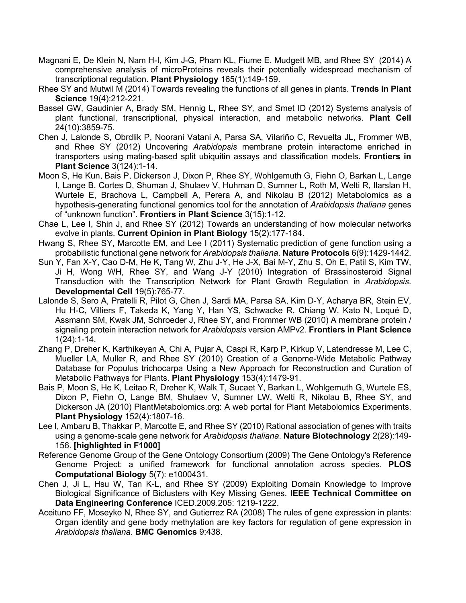- Magnani E, De Klein N, Nam H-I, Kim J-G, Pham KL, Fiume E, Mudgett MB, and Rhee SY (2014) A comprehensive analysis of microProteins reveals their potentially widespread mechanism of transcriptional regulation. **Plant Physiology** 165(1):149-159.
- Rhee SY and Mutwil M (2014) Towards revealing the functions of all genes in plants. **Trends in Plant Science** 19(4):212-221.
- Bassel GW, Gaudinier A, Brady SM, Hennig L, Rhee SY, and Smet ID (2012) Systems analysis of plant functional, transcriptional, physical interaction, and metabolic networks. **Plant Cell** 24(10):3859-75.
- Chen J, Lalonde S, Obrdlik P, Noorani Vatani A, Parsa SA, Vilariño C, Revuelta JL, Frommer WB, and Rhee SY (2012) Uncovering *Arabidopsis* membrane protein interactome enriched in transporters using mating-based split ubiquitin assays and classification models. **Frontiers in Plant Science** 3(124):1-14.
- Moon S, He Kun, Bais P, Dickerson J, Dixon P, Rhee SY, Wohlgemuth G, Fiehn O, Barkan L, Lange I, Lange B, Cortes D, Shuman J, Shulaev V, Huhman D, Sumner L, Roth M, Welti R, Ilarslan H, Wurtele E, Brachova L, Campbell A, Perera A, and Nikolau B (2012) Metabolomics as a hypothesis-generating functional genomics tool for the annotation of *Arabidopsis thaliana* genes of "unknown function". **Frontiers in Plant Science** 3(15):1-12.
- Chae L, Lee I, Shin J, and Rhee SY (2012) Towards an understanding of how molecular networks evolve in plants. **Current Opinion in Plant Biology** 15(2):177-184.
- Hwang S, Rhee SY, Marcotte EM, and Lee I (2011) Systematic prediction of gene function using a probabilistic functional gene network for *Arabidopsis thaliana*. **Nature Protocols** 6(9):1429-1442.
- Sun Y, Fan X-Y, Cao D-M, He K, Tang W, Zhu J-Y, He J-X, Bai M-Y, Zhu S, Oh E, Patil S, Kim TW, Ji H, Wong WH, Rhee SY, and Wang J-Y (2010) Integration of Brassinosteroid Signal Transduction with the Transcription Network for Plant Growth Regulation in *Arabidopsis*. **Developmental Cell** 19(5):765-77.
- Lalonde S, Sero A, Pratelli R, Pilot G, Chen J, Sardi MA, Parsa SA, Kim D-Y, Acharya BR, Stein EV, Hu H-C, Villiers F, Takeda K, Yang Y, Han YS, Schwacke R, Chiang W, Kato N, Loqué D, Assmann SM, Kwak JM, Schroeder J, Rhee SY, and Frommer WB (2010) A membrane protein / signaling protein interaction network for *Arabidopsis* version AMPv2. **Frontiers in Plant Science** 1(24):1-14.
- Zhang P, Dreher K, Karthikeyan A, Chi A, Pujar A, Caspi R, Karp P, Kirkup V, Latendresse M, Lee C, Mueller LA, Muller R, and Rhee SY (2010) Creation of a Genome-Wide Metabolic Pathway Database for Populus trichocarpa Using a New Approach for Reconstruction and Curation of Metabolic Pathways for Plants. **Plant Physiology** 153(4):1479-91.
- Bais P, Moon S, He K, Leitao R, Dreher K, Walk T, Sucaet Y, Barkan L, Wohlgemuth G, Wurtele ES, Dixon P, Fiehn O, Lange BM, Shulaev V, Sumner LW, Welti R, Nikolau B, Rhee SY, and Dickerson JA (2010) PlantMetabolomics.org: A web portal for Plant Metabolomics Experiments. **Plant Physiology** 152(4):1807-16.
- Lee I, Ambaru B, Thakkar P, Marcotte E, and Rhee SY (2010) Rational association of genes with traits using a genome-scale gene network for *Arabidopsis thaliana*. **Nature Biotechnology** 2(28):149- 156. **[highlighted in F1000]**
- Reference Genome Group of the Gene Ontology Consortium (2009) The Gene Ontology's Reference Genome Project: a unified framework for functional annotation across species. **PLOS Computational Biology** 5(7): e1000431.
- Chen J, Ji L, Hsu W, Tan K-L, and Rhee SY (2009) Exploiting Domain Knowledge to Improve Biological Significance of Biclusters with Key Missing Genes. **IEEE Technical Committee on Data Engineering Conference** ICED.2009.205: 1219-1222.
- Aceituno FF, Moseyko N, Rhee SY, and Gutierrez RA (2008) The rules of gene expression in plants: Organ identity and gene body methylation are key factors for regulation of gene expression in *Arabidopsis thaliana*. **BMC Genomics** 9:438.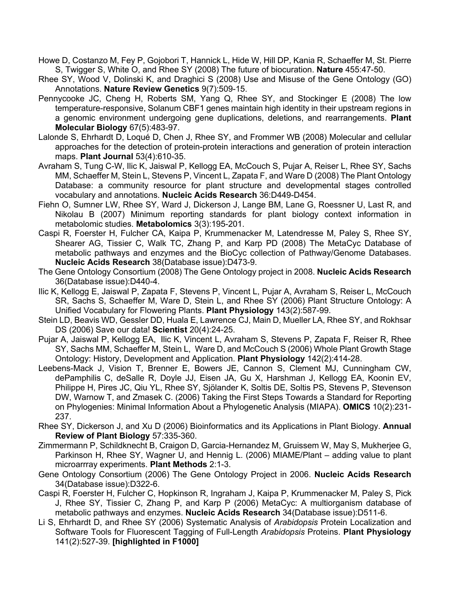- Howe D, Costanzo M, Fey P, Gojobori T, Hannick L, Hide W, Hill DP, Kania R, Schaeffer M, St. Pierre S, Twigger S, White O, and Rhee SY (2008) The future of biocuration. **Nature** 455:47-50.
- Rhee SY, Wood V, Dolinski K, and Draghici S (2008) Use and Misuse of the Gene Ontology (GO) Annotations. **Nature Review Genetics** 9(7):509-15.
- Pennycooke JC, Cheng H, Roberts SM, Yang Q, Rhee SY, and Stockinger E (2008) The low temperature-responsive, Solanum CBF1 genes maintain high identity in their upstream regions in a genomic environment undergoing gene duplications, deletions, and rearrangements. **Plant Molecular Biology** 67(5):483-97.
- Lalonde S, Ehrhardt D, Loqué D, Chen J, Rhee SY, and Frommer WB (2008) Molecular and cellular approaches for the detection of protein-protein interactions and generation of protein interaction maps. **Plant Journal** 53(4):610-35.
- Avraham S, Tung C-W, Ilic K, Jaiswal P, Kellogg EA, McCouch S, Pujar A, Reiser L, Rhee SY, Sachs MM, Schaeffer M, Stein L, Stevens P, Vincent L, Zapata F, and Ware D (2008) The Plant Ontology Database: a community resource for plant structure and developmental stages controlled vocabulary and annotations. **Nucleic Acids Research** 36:D449-D454.
- Fiehn O, Sumner LW, Rhee SY, Ward J, Dickerson J, Lange BM, Lane G, Roessner U, Last R, and Nikolau B (2007) Minimum reporting standards for plant biology context information in metabolomic studies. **Metabolomics** 3(3):195-201.
- Caspi R, Foerster H, Fulcher CA, Kaipa P, Krummenacker M, Latendresse M, Paley S, Rhee SY, Shearer AG, Tissier C, Walk TC, Zhang P, and Karp PD (2008) The MetaCyc Database of metabolic pathways and enzymes and the BioCyc collection of Pathway/Genome Databases. **Nucleic Acids Research** 38(Database issue):D473-9.
- The Gene Ontology Consortium (2008) The Gene Ontology project in 2008. **Nucleic Acids Research** 36(Database issue):D440-4.
- Ilic K, Kellogg E, Jaiswal P, Zapata F, Stevens P, Vincent L, Pujar A, Avraham S, Reiser L, McCouch SR, Sachs S, Schaeffer M, Ware D, Stein L, and Rhee SY (2006) Plant Structure Ontology: A Unified Vocabulary for Flowering Plants. **Plant Physiology** 143(2):587-99.
- Stein LD, Beavis WD, Gessler DD, Huala E, Lawrence CJ, Main D, Mueller LA, Rhee SY, and Rokhsar DS (2006) Save our data! **Scientist** 20(4):24-25.
- Pujar A, Jaiswal P, Kellogg EA, Ilic K, Vincent L, Avraham S, Stevens P, Zapata F, Reiser R, Rhee SY, Sachs MM, Schaeffer M, Stein L, Ware D, and McCouch S (2006) Whole Plant Growth Stage Ontology: History, Development and Application. **Plant Physiology** 142(2):414-28.
- Leebens-Mack J, Vision T, Brenner E, Bowers JE, Cannon S, Clement MJ, Cunningham CW, dePamphilis C, deSalle R, Doyle JJ, Eisen JA, Gu X, Harshman J, Kellogg EA, Koonin EV, Philippe H, Pires JC, Qiu YL, Rhee SY, Sjölander K, Soltis DE, Soltis PS, Stevens P, Stevenson DW, Warnow T, and Zmasek C. (2006) Taking the First Steps Towards a Standard for Reporting on Phylogenies: Minimal Information About a Phylogenetic Analysis (MIAPA). **OMICS** 10(2):231- 237.
- Rhee SY, Dickerson J, and Xu D (2006) Bioinformatics and its Applications in Plant Biology. **Annual Review of Plant Biology** 57:335-360.
- Zimmermann P, Schildknecht B, Craigon D, Garcia-Hernandez M, Gruissem W, May S, Mukherjee G, Parkinson H, Rhee SY, Wagner U, and Hennig L. (2006) MIAME/Plant – adding value to plant microarrray experiments. **Plant Methods** 2:1-3.
- Gene Ontology Consortium (2006) The Gene Ontology Project in 2006. **Nucleic Acids Research** 34(Database issue):D322-6.
- Caspi R, Foerster H, Fulcher C, Hopkinson R, Ingraham J, Kaipa P, Krummenacker M, Paley S, Pick J, Rhee SY, Tissier C, Zhang P, and Karp P (2006) MetaCyc: A multiorganism database of metabolic pathways and enzymes. **Nucleic Acids Research** 34(Database issue):D511-6.
- Li S, Ehrhardt D, and Rhee SY (2006) Systematic Analysis of *Arabidopsis* Protein Localization and Software Tools for Fluorescent Tagging of Full-Length *Arabidopsis* Proteins. **Plant Physiology** 141(2):527-39. **[highlighted in F1000]**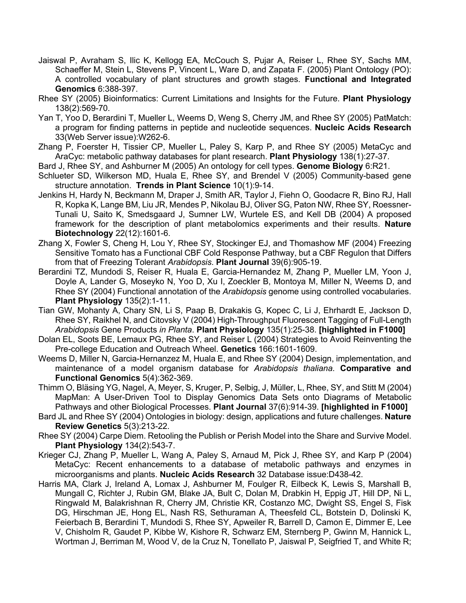- Jaiswal P, Avraham S, Ilic K, Kellogg EA, McCouch S, Pujar A, Reiser L, Rhee SY, Sachs MM, Schaeffer M, Stein L, Stevens P, Vincent L, Ware D, and Zapata F. (2005) Plant Ontology (PO): A controlled vocabulary of plant structures and growth stages. **Functional and Integrated Genomics** 6:388-397.
- Rhee SY (2005) Bioinformatics: Current Limitations and Insights for the Future. **Plant Physiology** 138(2):569-70.
- Yan T, Yoo D, Berardini T, Mueller L, Weems D, Weng S, Cherry JM, and Rhee SY (2005) PatMatch: a program for finding patterns in peptide and nucleotide sequences. **Nucleic Acids Research** 33(Web Server issue):W262-6.
- Zhang P, Foerster H, Tissier CP, Mueller L, Paley S, Karp P, and Rhee SY (2005) MetaCyc and AraCyc: metabolic pathway databases for plant research. **Plant Physiology** 138(1):27-37.
- Bard J, Rhee SY, and Ashburner M (2005) An ontology for cell types. **Genome Biology** 6:R21.
- Schlueter SD, Wilkerson MD, Huala E, Rhee SY, and Brendel V (2005) Community-based gene structure annotation. **Trends in Plant Science** 10(1):9-14.
- Jenkins H, Hardy N, Beckmann M, Draper J, Smith AR, Taylor J, Fiehn O, Goodacre R, Bino RJ, Hall R, Kopka K, Lange BM, Liu JR, Mendes P, Nikolau BJ, Oliver SG, Paton NW, Rhee SY, Roessner-Tunali U, Saito K, Smedsgaard J, Sumner LW, Wurtele ES, and Kell DB (2004) A proposed framework for the description of plant metabolomics experiments and their results. **Nature Biotechnology** 22(12):1601-6.
- Zhang X, Fowler S, Cheng H, Lou Y, Rhee SY, Stockinger EJ, and Thomashow MF (2004) Freezing Sensitive Tomato has a Functional CBF Cold Response Pathway, but a CBF Regulon that Differs from that of Freezing Tolerant *Arabidopsis*. **Plant Journal** 39(6):905-19.
- Berardini TZ, Mundodi S, Reiser R, Huala E, Garcia-Hernandez M, Zhang P, Mueller LM, Yoon J, Doyle A, Lander G, Moseyko N, Yoo D, Xu I, Zoeckler B, Montoya M, Miller N, Weems D, and Rhee SY (2004) Functional annotation of the *Arabidopsis* genome using controlled vocabularies. **Plant Physiology** 135(2):1-11.
- Tian GW, Mohanty A, Chary SN, Li S, Paap B, Drakakis G, Kopec C, Li J, Ehrhardt E, Jackson D, Rhee SY, Raikhel N, and Citovsky V (2004) High-Throughput Fluorescent Tagging of Full-Length *Arabidopsis* Gene Products *in Planta*. **Plant Physiology** 135(1):25-38. **[highlighted in F1000]**
- Dolan EL, Soots BE, Lemaux PG, Rhee SY, and Reiser L (2004) Strategies to Avoid Reinventing the Pre-college Education and Outreach Wheel. **Genetics** 166:1601-1609.
- Weems D, Miller N, Garcia-Hernanzez M, Huala E, and Rhee SY (2004) Design, implementation, and maintenance of a model organism database for *Arabidopsis thaliana*. **Comparative and Functional Genomics** 5(4):362-369.
- Thimm O, Bläsing YG, Nagel, A, Meyer, S, Kruger, P, Selbig, J, Müller, L, Rhee, SY, and Stitt M (2004) MapMan: A User-Driven Tool to Display Genomics Data Sets onto Diagrams of Metabolic Pathways and other Biological Processes. **Plant Journal** 37(6):914-39. **[highlighted in F1000]**
- Bard JL and Rhee SY (2004) Ontologies in biology: design, applications and future challenges. **Nature Review Genetics** 5(3):213-22.
- Rhee SY (2004) Carpe Diem. Retooling the Publish or Perish Model into the Share and Survive Model. **Plant Physiology** 134(2):543-7.
- Krieger CJ, Zhang P, Mueller L, Wang A, Paley S, Arnaud M, Pick J, Rhee SY, and Karp P (2004) MetaCyc: Recent enhancements to a database of metabolic pathways and enzymes in microorganisms and plants. **Nucleic Acids Research** 32 Database issue:D438-42.
- Harris MA, Clark J, Ireland A, Lomax J, Ashburner M, Foulger R, Eilbeck K, Lewis S, Marshall B, Mungall C, Richter J, Rubin GM, Blake JA, Bult C, Dolan M, Drabkin H, Eppig JT, Hill DP, Ni L, Ringwald M, Balakrishnan R, Cherry JM, Christie KR, Costanzo MC, Dwight SS, Engel S, Fisk DG, Hirschman JE, Hong EL, Nash RS, Sethuraman A, Theesfeld CL, Botstein D, Dolinski K, Feierbach B, Berardini T, Mundodi S, Rhee SY, Apweiler R, Barrell D, Camon E, Dimmer E, Lee V, Chisholm R, Gaudet P, Kibbe W, Kishore R, Schwarz EM, Sternberg P, Gwinn M, Hannick L, Wortman J, Berriman M, Wood V, de la Cruz N, Tonellato P, Jaiswal P, Seigfried T, and White R;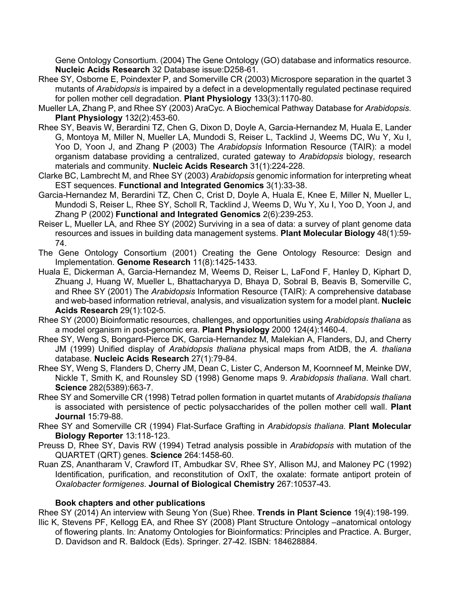Gene Ontology Consortium. (2004) The Gene Ontology (GO) database and informatics resource. **Nucleic Acids Research** 32 Database issue:D258-61.

- Rhee SY, Osborne E, Poindexter P, and Somerville CR (2003) Microspore separation in the quartet 3 mutants of *Arabidopsis* is impaired by a defect in a developmentally regulated pectinase required for pollen mother cell degradation. **Plant Physiology** 133(3):1170-80.
- Mueller LA, Zhang P, and Rhee SY (2003) AraCyc. A Biochemical Pathway Database for *Arabidopsis*. **Plant Physiology** 132(2):453-60.
- Rhee SY, Beavis W, Berardini TZ, Chen G, Dixon D, Doyle A, Garcia-Hernandez M, Huala E, Lander G, Montoya M, Miller N, Mueller LA, Mundodi S, Reiser L, Tacklind J, Weems DC, Wu Y, Xu I, Yoo D, Yoon J, and Zhang P (2003) The *Arabidopsis* Information Resource (TAIR): a model organism database providing a centralized, curated gateway to *Arabidopsis* biology, research materials and community. **Nucleic Acids Research** 31(1):224-228.
- Clarke BC, Lambrecht M, and Rhee SY (2003) *Arabidopsis* genomic information for interpreting wheat EST sequences. **Functional and Integrated Genomics** 3(1):33-38.
- Garcia-Hernandez M, Berardini TZ, Chen C, Crist D, Doyle A, Huala E, Knee E, Miller N, Mueller L, Mundodi S, Reiser L, Rhee SY, Scholl R, Tacklind J, Weems D, Wu Y, Xu I, Yoo D, Yoon J, and Zhang P (2002) **Functional and Integrated Genomics** 2(6):239-253.
- Reiser L, Mueller LA, and Rhee SY (2002) Surviving in a sea of data: a survey of plant genome data resources and issues in building data management systems. **Plant Molecular Biology** 48(1):59- 74.
- The Gene Ontology Consortium (2001) Creating the Gene Ontology Resource: Design and Implementation. **Genome Research** 11(8):1425-1433.
- Huala E, Dickerman A, Garcia-Hernandez M, Weems D, Reiser L, LaFond F, Hanley D, Kiphart D, Zhuang J, Huang W, Mueller L, Bhattacharyya D, Bhaya D, Sobral B, Beavis B, Somerville C, and Rhee SY (2001) The *Arabidopsis* Information Resource (TAIR): A comprehensive database and web-based information retrieval, analysis, and visualization system for a model plant. **Nucleic Acids Research** 29(1):102-5.
- Rhee SY (2000) Bioinformatic resources, challenges, and opportunities using *Arabidopsis thaliana* as a model organism in post-genomic era. **Plant Physiology** 2000 124(4):1460-4.
- Rhee SY, Weng S, Bongard-Pierce DK, Garcia-Hernandez M, Malekian A, Flanders, DJ, and Cherry JM (1999) Unified display of *Arabidopsis thaliana* physical maps from AtDB, the *A. thaliana* database. **Nucleic Acids Research** 27(1):79-84.
- Rhee SY, Weng S, Flanders D, Cherry JM, Dean C, Lister C, Anderson M, Koornneef M, Meinke DW, Nickle T, Smith K, and Rounsley SD (1998) Genome maps 9. *Arabidopsis thaliana*. Wall chart. **Science** 282(5389):663-7.
- Rhee SY and Somerville CR (1998) Tetrad pollen formation in quartet mutants of *Arabidopsis thaliana* is associated with persistence of pectic polysaccharides of the pollen mother cell wall. **Plant Journal** 15:79-88.
- Rhee SY and Somerville CR (1994) Flat-Surface Grafting in *Arabidopsis thaliana.* **Plant Molecular Biology Reporter** 13:118-123.
- Preuss D, Rhee SY, Davis RW (1994) Tetrad analysis possible in *Arabidopsis* with mutation of the QUARTET (QRT) genes. **Science** 264:1458-60.
- Ruan ZS, Anantharam V, Crawford IT, Ambudkar SV, Rhee SY, Allison MJ, and Maloney PC (1992) Identification, purification, and reconstitution of OxlT, the oxalate: formate antiport protein of *Oxalobacter formigenes*. **Journal of Biological Chemistry** 267:10537-43.

# **Book chapters and other publications**

Rhee SY (2014) An interview with Seung Yon (Sue) Rhee. **Trends in Plant Science** 19(4):198-199.

Ilic K, Stevens PF, Kellogg EA, and Rhee SY (2008) Plant Structure Ontology –anatomical ontology of flowering plants. In: Anatomy Ontologies for Bioinformatics: Principles and Practice. A. Burger, D. Davidson and R. Baldock (Eds). Springer. 27-42. ISBN: 184628884.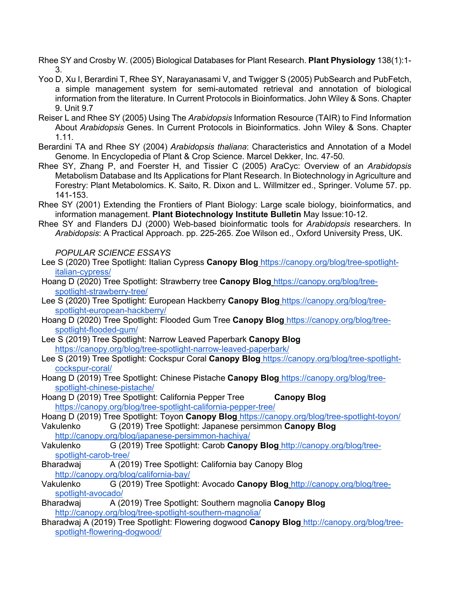Rhee SY and Crosby W. (2005) Biological Databases for Plant Research. **Plant Physiology** 138(1):1- 3.

- Yoo D, Xu I, Berardini T, Rhee SY, Narayanasami V, and Twigger S (2005) PubSearch and PubFetch, a simple management system for semi-automated retrieval and annotation of biological information from the literature. In Current Protocols in Bioinformatics. John Wiley & Sons. Chapter 9. Unit 9.7
- Reiser L and Rhee SY (2005) Using The *Arabidopsis* Information Resource (TAIR) to Find Information About *Arabidopsis* Genes. In Current Protocols in Bioinformatics. John Wiley & Sons. Chapter 1.11*.*
- Berardini TA and Rhee SY (2004) *Arabidopsis thaliana*: Characteristics and Annotation of a Model Genome. In Encyclopedia of Plant & Crop Science. Marcel Dekker, Inc. 47-50*.*
- Rhee SY, Zhang P, and Foerster H, and Tissier C (2005) AraCyc: Overview of an *Arabidopsis* Metabolism Database and Its Applications for Plant Research. In Biotechnology in Agriculture and Forestry: Plant Metabolomics. K. Saito, R. Dixon and L. Willmitzer ed., Springer. Volume 57. pp. 141-153.
- Rhee SY (2001) Extending the Frontiers of Plant Biology: Large scale biology, bioinformatics, and information management. **Plant Biotechnology Institute Bulletin** May Issue:10-12.
- Rhee SY and Flanders DJ (2000) Web-based bioinformatic tools for *Arabidopsis* researchers. In *Arabidopsis*: A Practical Approach. pp. 225-265. Zoe Wilson ed., Oxford University Press, UK.

*POPULAR SCIENCE ESSAYS*

- Lee S (2020) Tree Spotlight: Italian Cypress **Canopy Blog** https://canopy.org/blog/tree-spotlightitalian-cypress/
- Hoang D (2020) Tree Spotlight: Strawberry tree **Canopy Blog** https://canopy.org/blog/treespotlight-strawberry-tree/
- Lee S (2020) Tree Spotlight: European Hackberry **Canopy Blog** https://canopy.org/blog/treespotlight-european-hackberry/
- Hoang D (2020) Tree Spotlight: Flooded Gum Tree **Canopy Blog** https://canopy.org/blog/treespotlight-flooded-gum/
- Lee S (2019) Tree Spotlight: Narrow Leaved Paperbark **Canopy Blog** https://canopy.org/blog/tree-spotlight-narrow-leaved-paperbark/
- Lee S (2019) Tree Spotlight: Cockspur Coral **Canopy Blog** https://canopy.org/blog/tree-spotlightcockspur-coral/
- Hoang D (2019) Tree Spotlight: Chinese Pistache **Canopy Blog** https://canopy.org/blog/treespotlight-chinese-pistache/
- Hoang D (2019) Tree Spotlight: California Pepper Tree **Canopy Blog** https://canopy.org/blog/tree-spotlight-california-pepper-tree/
- Hoang D (2019) Tree Spotlight: Toyon **Canopy Blog** https://canopy.org/blog/tree-spotlight-toyon/ Vakulenko G (2019) Tree Spotlight: Japanese persimmon **Canopy Blog**
	- http://canopy.org/blog/japanese-persimmon-hachiya/
- Vakulenko G (2019) Tree Spotlight: Carob **Canopy Blog** http://canopy.org/blog/treespotlight-carob-tree/
- Bharadwaj A (2019) Tree Spotlight: California bay Canopy Blog http://canopy.org/blog/california-bay/
- Vakulenko G (2019) Tree Spotlight: Avocado **Canopy Blog** http://canopy.org/blog/treespotlight-avocado/
- Bharadwaj A (2019) Tree Spotlight: Southern magnolia **Canopy Blog** http://canopy.org/blog/tree-spotlight-southern-magnolia/
- Bharadwaj A (2019) Tree Spotlight: Flowering dogwood **Canopy Blog** http://canopy.org/blog/treespotlight-flowering-dogwood/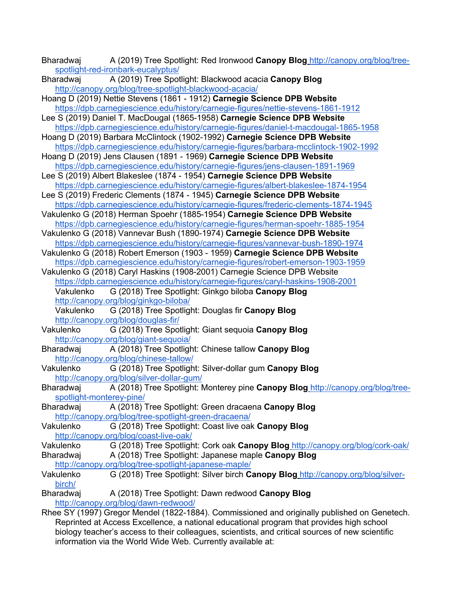- Bharadwaj A (2019) Tree Spotlight: Red Ironwood **Canopy Blog** http://canopy.org/blog/treespotlight-red-ironbark-eucalyptus/
- Bharadwaj A (2019) Tree Spotlight: Blackwood acacia **Canopy Blog** http://canopy.org/blog/tree-spotlight-blackwood-acacia/
- Hoang D (2019) Nettie Stevens (1861 1912) **Carnegie Science DPB Website** https://dpb.carnegiescience.edu/history/carnegie-figures/nettie-stevens-1861-1912
- Lee S (2019) Daniel T. MacDougal (1865-1958) **Carnegie Science DPB Website** https://dpb.carnegiescience.edu/history/carnegie-figures/daniel-t-macdougal-1865-1958
- Hoang D (2019) Barbara McClintock (1902-1992) **Carnegie Science DPB Website** https://dpb.carnegiescience.edu/history/carnegie-figures/barbara-mcclintock-1902-1992
- Hoang D (2019) Jens Clausen (1891 1969) **Carnegie Science DPB Website** https://dpb.carnegiescience.edu/history/carnegie-figures/jens-clausen-1891-1969
- Lee S (2019) Albert Blakeslee (1874 1954) **Carnegie Science DPB Website** https://dpb.carnegiescience.edu/history/carnegie-figures/albert-blakeslee-1874-1954
- Lee S (2019) Frederic Clements (1874 1945) **Carnegie Science DPB Website** https://dpb.carnegiescience.edu/history/carnegie-figures/frederic-clements-1874-1945
- Vakulenko G (2018) Herman Spoehr (1885-1954) **Carnegie Science DPB Website** https://dpb.carnegiescience.edu/history/carnegie-figures/herman-spoehr-1885-1954
- Vakulenko G (2018) Vannevar Bush (1890-1974) **Carnegie Science DPB Website** https://dpb.carnegiescience.edu/history/carnegie-figures/vannevar-bush-1890-1974
- Vakulenko G (2018) Robert Emerson (1903 1959) **Carnegie Science DPB Website** https://dpb.carnegiescience.edu/history/carnegie-figures/robert-emerson-1903-1959
- Vakulenko G (2018) Caryl Haskins (1908-2001) Carnegie Science DPB Website https://dpb.carnegiescience.edu/history/carnegie-figures/caryl-haskins-1908-2001 Vakulenko G (2018) Tree Spotlight: Ginkgo biloba **Canopy Blog** http://canopy.org/blog/ginkgo-biloba/

Vakulenko G (2018) Tree Spotlight: Douglas fir **Canopy Blog** http://canopy.org/blog/douglas-fir/

- Vakulenko G (2018) Tree Spotlight: Giant sequoia **Canopy Blog** http://canopy.org/blog/giant-sequoia/
- Bharadwaj A (2018) Tree Spotlight: Chinese tallow **Canopy Blog** http://canopy.org/blog/chinese-tallow/
- Vakulenko G (2018) Tree Spotlight: Silver-dollar gum **Canopy Blog** http://canopy.org/blog/silver-dollar-gum/
- Bharadwaj A (2018) Tree Spotlight: Monterey pine **Canopy Blog** http://canopy.org/blog/treespotlight-monterey-pine/
- Bharadwaj A (2018) Tree Spotlight: Green dracaena **Canopy Blog** http://canopy.org/blog/tree-spotlight-green-dracaena/
- Vakulenko G (2018) Tree Spotlight: Coast live oak **Canopy Blog** http://canopy.org/blog/coast-live-oak/
- Vakulenko G (2018) Tree Spotlight: Cork oak **Canopy Blog** http://canopy.org/blog/cork-oak/ Bharadwaj A (2018) Tree Spotlight: Japanese maple **Canopy Blog**
- http://canopy.org/blog/tree-spotlight-japanese-maple/
- Vakulenko G (2018) Tree Spotlight: Silver birch **Canopy Blog** http://canopy.org/blog/silverbirch/
- Bharadwaj A (2018) Tree Spotlight: Dawn redwood **Canopy Blog** http://canopy.org/blog/dawn-redwood/
- Rhee SY (1997) Gregor Mendel (1822-1884). Commissioned and originally published on Genetech. Reprinted at Access Excellence, a national educational program that provides high school biology teacher's access to their colleagues, scientists, and critical sources of new scientific information via the World Wide Web. Currently available at: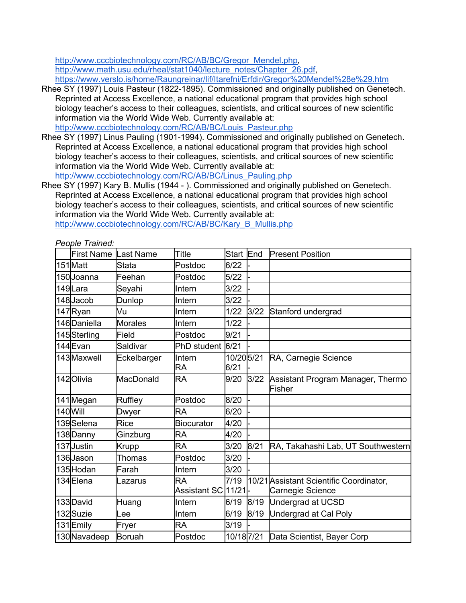http://www.cccbiotechnology.com/RC/AB/BC/Gregor\_Mendel.php, http://www.math.usu.edu/rheal/stat1040/lecture\_notes/Chapter\_26.pdf, https://www.verslo.is/home/Raungreinar/lif/Itarefni/Erfdir/Gregor%20Mendel%28e%29.htm

- Rhee SY (1997) Louis Pasteur (1822-1895). Commissioned and originally published on Genetech. Reprinted at Access Excellence, a national educational program that provides high school biology teacher's access to their colleagues, scientists, and critical sources of new scientific information via the World Wide Web. Currently available at: http://www.cccbiotechnology.com/RC/AB/BC/Louis\_Pasteur.php
- Rhee SY (1997) Linus Pauling (1901-1994). Commissioned and originally published on Genetech. Reprinted at Access Excellence, a national educational program that provides high school biology teacher's access to their colleagues, scientists, and critical sources of new scientific information via the World Wide Web. Currently available at: http://www.cccbiotechnology.com/RC/AB/BC/Linus\_Pauling.php

Rhee SY (1997) Kary B. Mullis (1944 - ). Commissioned and originally published on Genetech. Reprinted at Access Excellence, a national educational program that provides high school biology teacher's access to their colleagues, scientists, and critical sources of new scientific information via the World Wide Web. Currently available at:

http://www.cccbiotechnology.com/RC/AB/BC/Kary\_B\_Mullis.php

| People Trained: |  |
|-----------------|--|
|-----------------|--|

| <b>First Name</b> | Last Name      | Title                            | <b>Start</b>      | End  | <b>Present Position</b>                                     |
|-------------------|----------------|----------------------------------|-------------------|------|-------------------------------------------------------------|
| 151Matt           | Stata          | Postdoc                          | 6/22              |      |                                                             |
| 150Uoanna         | Feehan         | Postdoc                          | $5/22$            |      |                                                             |
| 149Lara           | Seyahi         | Intern                           | 3/22              |      |                                                             |
| 148Jacob          | Dunlop         | Intern                           | 3/22              |      |                                                             |
| 147Ryan           | Vu             | Intern                           | 1/22              | 3/22 | Stanford undergrad                                          |
| 146Daniella       | <b>Morales</b> | Intern                           | 1/22              |      |                                                             |
| 145Sterling       | Field          | Postdoc                          | 9/21              |      |                                                             |
| 144Evan           | Saldivar       | PhD student                      | 6/21              |      |                                                             |
| 143 Maxwell       | Eckelbarger    | Intern<br><b>RA</b>              | 10/205/21<br>6/21 |      | RA, Carnegie Science                                        |
| 142Olivia         | MacDonald      | <b>RA</b>                        | 9/20              | 3/22 | Assistant Program Manager, Thermo<br>Fisher                 |
| 141 Megan         | Ruffley        | Postdoc                          | 8/20              |      |                                                             |
| 140 Will          | Dwyer          | <b>RA</b>                        | 6/20              |      |                                                             |
| 139Selena         | Rice           | <b>Biocurator</b>                | 4/20              |      |                                                             |
| 138 Danny         | Ginzburg       | <b>RA</b>                        | 4/20              |      |                                                             |
| 137Justin         | Krupp          | <b>RA</b>                        | 3/20              | 8/21 | RA, Takahashi Lab, UT Southwestern                          |
| 136Uason          | Thomas         | Postdoc                          | 3/20              |      |                                                             |
| 135Hodan          | Farah          | Intern                           | 3/20              |      |                                                             |
| 134Elena          | Lazarus        | <b>RA</b><br>Assistant SC 11/21- | 7/19              |      | 10/21 Assistant Scientific Coordinator,<br>Carnegie Science |
| 133 David         | Huang          | Intern                           | 6/19              | 8/19 | Undergrad at UCSD                                           |
| 132 Suzie         | Lee            | Intern                           | 6/19              | 8/19 | Undergrad at Cal Poly                                       |
| 131Emily          | Fryer          | <b>RA</b>                        | 3/19              |      |                                                             |
| 130 Navadeep      | <b>Boruah</b>  | Postdoc                          |                   |      | 10/187/21 Data Scientist, Bayer Corp                        |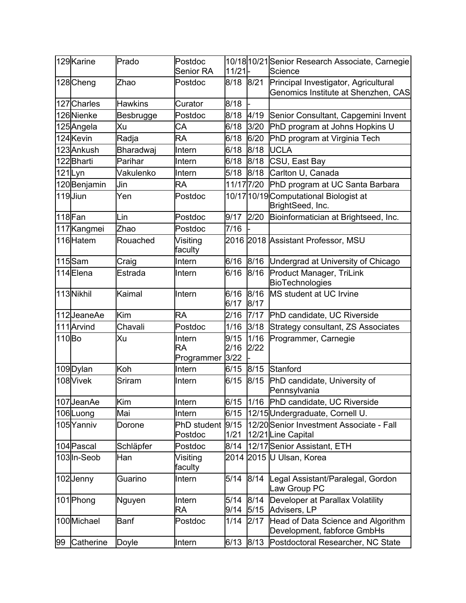|       | 129 Karine        | Prado          | Postdoc<br><b>Senior RA</b>       | 11/21                |              | 10/18 10/21 Senior Research Associate, Carnegie<br>Science                  |
|-------|-------------------|----------------|-----------------------------------|----------------------|--------------|-----------------------------------------------------------------------------|
|       | 128 Cheng         | Zhao           | Postdoc                           | 8/18                 | 8/21         | Principal Investigator, Agricultural<br>Genomics Institute at Shenzhen, CAS |
|       | 127 Charles       | <b>Hawkins</b> | Curator                           | 8/18                 |              |                                                                             |
|       | 126Nienke         | Besbrugge      | Postdoc                           | 8/18                 | 4/19         | Senior Consultant, Capgemini Invent                                         |
|       | 125Angela         | Xu             | CA                                | 6/18                 | 3/20         | PhD program at Johns Hopkins U                                              |
|       | 124 Kevin         | Radja          | <b>RA</b>                         | 6/18                 | 6/20         | PhD program at Virginia Tech                                                |
|       | 123 Ankush        | Bharadwaj      | Intern                            | 6/18                 | 8/18         | <b>UCLA</b>                                                                 |
|       | 122 <b>Bharti</b> | Parihar        | Intern                            | 6/18                 | 8/18         | CSU, East Bay                                                               |
|       | 121Lyn            | Vakulenko      | Intern                            | 5/18                 | 8/18         | Carlton U, Canada                                                           |
|       | 120Benjamin       | Jin            | <b>RA</b>                         | 11/17 7/20           |              | PhD program at UC Santa Barbara                                             |
|       | 119Jiun           | Yen            | Postdoc                           |                      |              | 10/17 10/19 Computational Biologist at<br>BrightSeed, Inc.                  |
|       | 118Fan            | Lin            | Postdoc                           | 9/17                 | 2/20         | Bioinformatician at Brightseed, Inc.                                        |
|       | 117 Kangmei       | Zhao           | Postdoc                           | 7/16                 |              |                                                                             |
|       | 116Hatem          | Rouached       | Visiting<br>faculty               |                      |              | 2016 2018 Assistant Professor, MSU                                          |
|       | 115Sam            | Craig          | Intern                            | 6/16                 |              | 8/16 Undergrad at University of Chicago                                     |
|       | 114Elena          | Estrada        | Intern                            | 6/16                 | 8/16         | Product Manager, TriLink<br><b>BioTechnologies</b>                          |
|       | 113Nikhil         | Kaimal         | Intern                            | 6/16<br>6/17         | 8/16<br>8/17 | MS student at UC Irvine                                                     |
|       | 112JeaneAe        | Kim            | <b>RA</b>                         | 2/16                 | 7/17         | PhD candidate, UC Riverside                                                 |
|       | 111 Arvind        | Chavali        | Postdoc                           | 1/16                 | 3/18         | Strategy consultant, ZS Associates                                          |
| 110Bo |                   | Xu             | Intern<br><b>RA</b><br>Programmer | 9/15<br>2/16<br>3/22 | 1/16<br>2/22 | Programmer, Carnegie                                                        |
|       | 109 Dylan         | Koh            | Intern                            | 6/15                 | 8/15         | Stanford                                                                    |
|       | 108 Vivek         | Sriram         | Intern                            | 6/15                 | 8/15         | PhD candidate, University of<br>Pennsylvania                                |
|       | 107JeanAe         | Kim            | Intern                            | 6/15                 |              | 1/16 PhD candidate, UC Riverside                                            |
|       | 106Luong          | Mai            | Intern                            | 6/15                 |              | 12/15 Undergraduate, Cornell U.                                             |
|       | 105Yanniv         | Dorone         | <b>PhD</b> student<br>Postdoc     | 9/15<br>1/21         |              | 12/20 Senior Investment Associate - Fall<br>12/21 Line Capital              |
|       | 104 Pascal        | Schläpfer      | Postdoc                           | 8/14                 |              | 12/17 Senior Assistant, ETH                                                 |
|       | 103In-Seob        | Han            | Visiting<br>faculty               |                      |              | 2014 2015 U Ulsan, Korea                                                    |
|       | 102Jenny          | Guarino        | Intern                            | 5/14                 | 8/14         | Legal Assistant/Paralegal, Gordon<br>Law Group PC                           |
|       | 101 Phong         | Nguyen         | Intern<br><b>RA</b>               | 5/14<br>9/14         | 8/14<br>5/15 | Developer at Parallax Volatility<br>Advisers, LP                            |
|       | 100Michael        | <b>Banf</b>    | Postdoc                           | 1/14                 | 2/17         | Head of Data Science and Algorithm<br>Development, fabforce GmbHs           |
| 99    | Catherine         | Doyle          | Intern                            | 6/13                 | 8/13         | Postdoctoral Researcher, NC State                                           |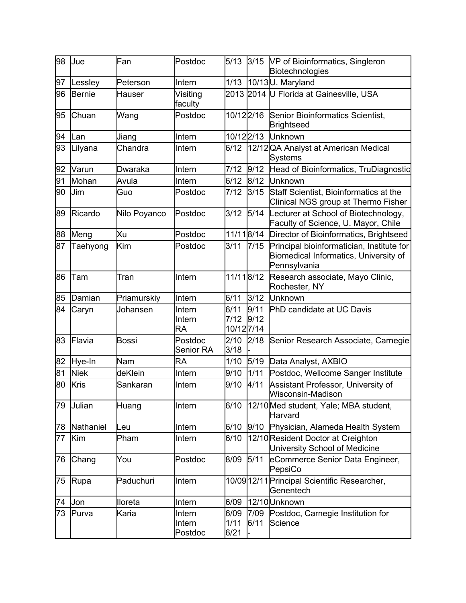| 98 | Jue         | Fan           | Postdoc                     | 5/13                       | 3/15         | VP of Bioinformatics, Singleron<br>Biotechnologies                                                 |
|----|-------------|---------------|-----------------------------|----------------------------|--------------|----------------------------------------------------------------------------------------------------|
| 97 | Lessley     | Peterson      | Intern                      | 1/13                       |              | 10/13U. Maryland                                                                                   |
| 96 | Bernie      | <b>Hauser</b> | Visiting<br>faculty         |                            |              | 2013 2014 U Florida at Gainesville, USA                                                            |
| 95 | Chuan       | Wang          | Postdoc                     | 10/12 2/16                 |              | Senior Bioinformatics Scientist,<br>Brightseed                                                     |
| 94 | Lan         | Jiang         | Intern                      | 10/122/13                  |              | <b>Unknown</b>                                                                                     |
| 93 | Lilyana     | Chandra       | Intern                      | 6/12                       |              | 12/12 QA Analyst at American Medical<br><b>Systems</b>                                             |
| 92 | Varun       | Dwaraka       | Intern                      | 7/12                       | 9/12         | Head of Bioinformatics, TruDiagnostic                                                              |
| 91 | Mohan       | Avula         | Intern                      | 6/12                       | 8/12         | Unknown                                                                                            |
| 90 | <b>Jim</b>  | Guo           | Postdoc                     | 7/12                       | 3/15         | Staff Scientist, Bioinformatics at the<br>Clinical NGS group at Thermo Fisher                      |
| 89 | Ricardo     | Nilo Poyanco  | Postdoc                     | 3/12                       | $5/14$       | Lecturer at School of Biotechnology,<br>Faculty of Science, U. Mayor, Chile                        |
| 88 | Meng        | Xu            | Postdoc                     | 11/118/14                  |              | Director of Bioinformatics, Brightseed                                                             |
| 87 | Taehyong    | Kim           | Postdoc                     | 3/11                       | 7/15         | Principal bioinformatician, Institute for<br>Biomedical Informatics, University of<br>Pennsylvania |
| 86 | Tam         | Tran          | Intern                      | 11/118/12                  |              | Research associate, Mayo Clinic,<br>Rochester, NY                                                  |
| 85 | Damian      | Priamurskiy   | Intern                      | 6/11                       | 3/12         | Unknown                                                                                            |
| 84 | Caryn       | Johansen      | Intern<br>Intern<br>RA      | 6/11<br>7/12<br>10/12 7/14 | 9/11<br>9/12 | PhD candidate at UC Davis                                                                          |
| 83 | Flavia      | <b>Bossi</b>  | Postdoc<br><b>Senior RA</b> | 2/10<br>3/18               | 2/18         | Senior Research Associate, Carnegie                                                                |
| 82 | Hye-In      | Nam           | RA                          | 1/10                       | 5/19         | Data Analyst, AXBIO                                                                                |
| 81 | <b>Niek</b> | deKlein       | Intern                      | 9/10                       | 1/11         | Postdoc, Wellcome Sanger Institute                                                                 |
| 80 | Kris        | Sankaran      | Intern                      | 9/10                       | 4/11         | Assistant Professor, University of<br>Wisconsin-Madison                                            |
| 79 | Julian      | Huang         | Intern                      | 6/10                       |              | 12/10 Med student, Yale; MBA student,<br>Harvard                                                   |
| 78 | Nathaniel   | Leu           | Intern                      | 6/10                       | 9/10         | Physician, Alameda Health System                                                                   |
| 77 | Kim         | Pham          | Intern                      | 6/10                       |              | 12/10 Resident Doctor at Creighton<br>University School of Medicine                                |
| 76 | Chang       | You           | Postdoc                     | 8/09                       | 5/11         | eCommerce Senior Data Engineer,<br>PepsiCo                                                         |
| 75 | Rupa        | Paduchuri     | Intern                      |                            |              | 10/09 12/11 Principal Scientific Researcher,<br>Genentech                                          |
| 74 | Jon         | lloreta       | Intern                      | 6/09                       |              | 12/10 Unknown                                                                                      |
| 73 | Purva       | Karia         | Intern<br>Intern<br>Postdoc | 6/09<br>1/11<br>6/21       | 7/09<br>6/11 | Postdoc, Carnegie Institution for<br>Science                                                       |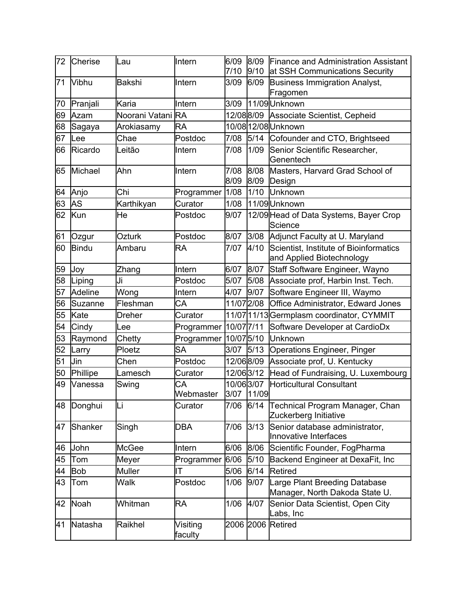| 72 | Cherise    | Lau               | Intern              | 6/09<br>7/10            | 8/09<br>9/10 | Finance and Administration Assistant<br>at SSH Communications Security |
|----|------------|-------------------|---------------------|-------------------------|--------------|------------------------------------------------------------------------|
| 71 | Vibhu      | <b>Bakshi</b>     | Intern              | 3/09                    | 6/09         | Business Immigration Analyst,<br>Fragomen                              |
| 70 | Pranjali   | Karia             | Intern              | 3/09                    |              | 11/09Unknown                                                           |
| 69 | Azam       | Noorani Vatani RA |                     | 12/08 8/09              |              | Associate Scientist, Cepheid                                           |
| 68 | Sagaya     | Arokiasamy        | <b>RA</b>           |                         |              | 10/08 12/08 Unknown                                                    |
| 67 | Lee        | Chae              | Postdoc             | 7/08                    |              | 5/14 Cofounder and CTO, Brightseed                                     |
| 66 | Ricardo    | Leitão            | Intern              | 7/08                    | 1/09         | Senior Scientific Researcher,<br>Genentech                             |
| 65 | Michael    | Ahn               | Intern              | 7/08<br>8/09            | 8/08<br>8/09 | Masters, Harvard Grad School of<br>Design                              |
| 64 | Anjo       | Chi               | Programmer          | 1/08                    | 1/10         | Unknown                                                                |
| 63 | <b>AS</b>  | Karthikyan        | Curator             | 1/08                    |              | 11/09 Unknown                                                          |
| 62 | Kun        | He                | Postdoc             | 9/07                    |              | 12/09 Head of Data Systems, Bayer Crop<br>Science                      |
| 61 | Ozgur      | Ozturk            | Postdoc             | 8/07                    |              | 3/08 Adjunct Faculty at U. Maryland                                    |
| 60 | Bindu      | Ambaru            | RA                  | 7/07                    | 4/10         | Scientist, Institute of Bioinformatics<br>and Applied Biotechnology    |
| 59 | Joy        | Zhang             | Intern              | 6/07                    | 8/07         | Staff Software Engineer, Wayno                                         |
| 58 | Liping     | Ji                | Postdoc             | 5/07                    | 5/08         | Associate prof, Harbin Inst. Tech.                                     |
| 57 | Adeline    | Wong              | Intern              | 4/07                    | 9/07         | Software Engineer III, Waymo                                           |
| 56 | Suzanne    | Fleshman          | CA                  | 11/07 2/08              |              | Office Administrator, Edward Jones                                     |
| 55 | Kate       | Dreher            | Curator             |                         |              | 11/07 11/13 Germplasm coordinator, CYMMIT                              |
| 54 | Cindy      | Lee               | Programmer          | 10/07 7/11              |              | Software Developer at CardioDx                                         |
| 53 | Raymond    | Chetty            | Programmer          | 10/07 5/10              |              | Unknown                                                                |
| 52 | Larry      | Ploetz            | <b>SA</b>           | 3/07                    | 5/13         | Operations Engineer, Pinger                                            |
| 51 | Jin        | Chen              | Postdoc             | 12/068/09               |              | Associate prof, U. Kentucky                                            |
| 50 | Phillipe   | Lamesch           | Curator             | 12/063/12               |              | Head of Fundraising, U. Luxembourg                                     |
| 49 | Vanessa    | Swing             | CA<br>Webmaster     | 10/063/07<br>3/07 11/09 |              | Horticultural Consultant                                               |
| 48 | Donghui    | Li                | Curator             | 7/06                    | 6/14         | Technical Program Manager, Chan<br>Zuckerberg Initiative               |
| 47 | Shanker    | Singh             | <b>DBA</b>          | 7/06                    | 3/13         | Senior database administrator,<br>Innovative Interfaces                |
| 46 | John       | <b>McGee</b>      | Intern              | 6/06                    | 8/06         | Scientific Founder, FogPharma                                          |
| 45 | Tom        | Meyer             | Programmer          | 6/06                    | 5/10         | Backend Engineer at DexaFit, Inc                                       |
| 44 | <b>Bob</b> | <b>Muller</b>     | ΙT                  | 5/06                    | 6/14         | <b>Retired</b>                                                         |
| 43 | Tom        | Walk              | Postdoc             | 1/06                    | 9/07         | Large Plant Breeding Database<br>Manager, North Dakoda State U.        |
| 42 | Noah       | Whitman           | <b>RA</b>           | 1/06                    | 4/07         | Senior Data Scientist, Open City<br>Labs, Inc                          |
| 41 | Natasha    | Raikhel           | Visiting<br>faculty |                         |              | 2006 2006 Retired                                                      |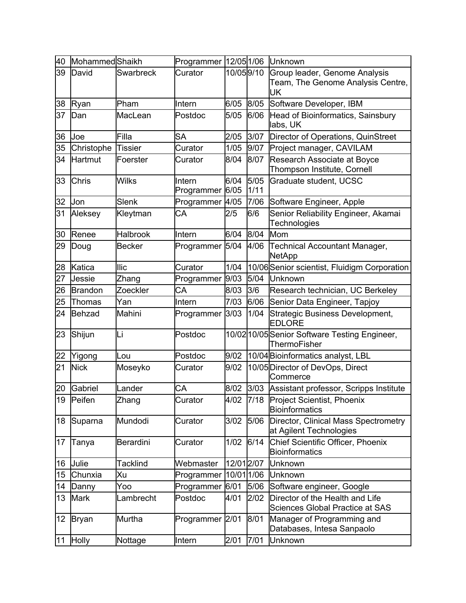| 40              | MohammedShaikh |                  | Programmer 12/051/06 |              |              | Unknown                                                                   |
|-----------------|----------------|------------------|----------------------|--------------|--------------|---------------------------------------------------------------------------|
| 39              | David          | <b>Swarbreck</b> | Curator              | 10/059/10    |              | Group leader, Genome Analysis<br>Team, The Genome Analysis Centre,<br>UK  |
| 38              | Ryan           | Pham             | Intern               | 6/05         | 8/05         | Software Developer, IBM                                                   |
| 37              | Dan            | MacLean          | Postdoc              | 5/05         | 6/06         | Head of Bioinformatics, Sainsbury<br>labs, UK                             |
| 36              | Joe            | Filla            | SA                   | 2/05         | 3/07         | Director of Operations, QuinStreet                                        |
| 35              | Christophe     | <b>Tissier</b>   | Curator              | 1/05         | 9/07         | Project manager, CAVILAM                                                  |
| 34              | <b>Hartmut</b> | Foerster         | Curator              | 8/04         | 8/07         | Research Associate at Boyce<br>Thompson Institute, Cornell                |
| 33              | <b>Chris</b>   | <b>Wilks</b>     | Intern<br>Programmer | 6/04<br>6/05 | 5/05<br>1/11 | Graduate student, UCSC                                                    |
| 32              | Jon            | Slenk            | Programmer           | 4/05         | 7/06         | Software Engineer, Apple                                                  |
| 31              | Aleksey        | Kleytman         | CA                   | 2/5          | 6/6          | Senior Reliability Engineer, Akamai<br>Technologies                       |
| 30              | Renee          | <b>Halbrook</b>  | Intern               | 6/04         | 8/04         | Mom                                                                       |
| 29              | Doug           | <b>Becker</b>    | Programmer           | $5/04$       | 4/06         | <b>Technical Accountant Manager,</b><br><b>NetApp</b>                     |
| 28              | Katica         | <b>Ilic</b>      | Curator              | 1/04         |              | 10/06 Senior scientist, Fluidigm Corporation                              |
| 27              | Jessie         | Zhang            | Programmer           | 9/03         | 5/04         | <b>Unknown</b>                                                            |
| 26              | Brandon        | Zoeckler         | CA                   | 8/03         | 3/6          | Research technician, UC Berkeley                                          |
| 25              | Thomas         | Yan              | Intern               | 7/03         | 6/06         | Senior Data Engineer, Tapjoy                                              |
| 24              | Behzad         | Mahini           | Programmer           | 3/03         | 1/04         | Strategic Business Development,<br><b>EDLORE</b>                          |
| 23              | Shijun         | Li               | Postdoc              |              |              | 10/02 10/05 Senior Software Testing Engineer,<br><b>ThermoFisher</b>      |
| 22              | Yigong         | Lou              | Postdoc              | 9/02         |              | 10/04 Bioinformatics analyst, LBL                                         |
| 21              | <b>Nick</b>    | Moseyko          | Curator              | 9/02         |              | 10/05 Director of DevOps, Direct<br>Commerce                              |
| 20              | Gabriel        | Lander           | СA                   | 8/02         |              | 3/03 Assistant professor, Scripps Institute                               |
| 19              | Peifen         | Zhang            | Curator              | 4/02         |              | 7/18 Project Scientist, Phoenix<br><b>Bioinformatics</b>                  |
| 18              | Suparna        | Mundodi          | Curator              | 3/02         | 5/06         | Director, Clinical Mass Spectrometry<br>at Agilent Technologies           |
| 17              | Tanya          | <b>Berardini</b> | Curator              | 1/02         | 6/14         | Chief Scientific Officer, Phoenix<br><b>Bioinformatics</b>                |
| 16              | Julie          | Tacklind         | Webmaster            | 12/01 2/07   |              | Unknown                                                                   |
| 15              | Chunxia        | Xu               | Programmer           | 10/01 1/06   |              | Unknown                                                                   |
| 14              | Danny          | Yoo              | Programmer           | 6/01         | 5/06         | Software engineer, Google                                                 |
| 13              | <b>Mark</b>    | Lambrecht        | Postdoc              | 4/01         | 2/02         | Director of the Health and Life<br><b>Sciences Global Practice at SAS</b> |
| 12 <sub>2</sub> | Bryan          | Murtha           | Programmer 2/01      |              | 8/01         | Manager of Programming and<br>Databases, Intesa Sanpaolo                  |
| 11              | <b>Holly</b>   | Nottage          | Intern               | 2/01         | 7/01         | Unknown                                                                   |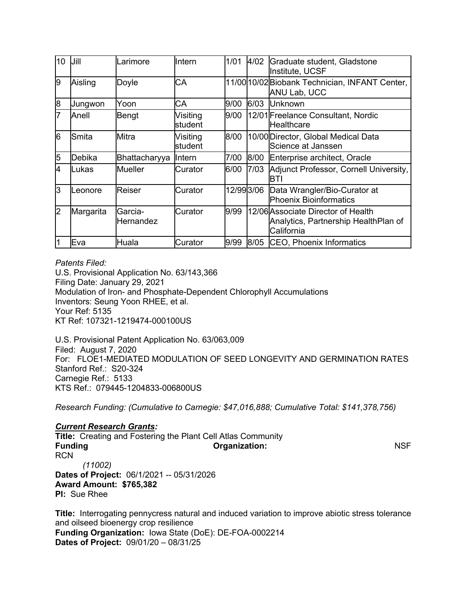| 10 | IJill     | Larimore              | Intern              | 1/01       | 4/02 | Graduate student, Gladstone<br>Institute, UCSF                                           |
|----|-----------|-----------------------|---------------------|------------|------|------------------------------------------------------------------------------------------|
| l9 | Aisling   | Doyle                 | CA                  |            |      | 11/00 10/02 Biobank Technician, INFANT Center,<br>ANU Lab, UCC                           |
| 8  | Jungwon   | Yoon                  | СA                  | 9/00       | 6/03 | Unknown                                                                                  |
|    | Anell     | Bengt                 | Visiting<br>student | 9/00       |      | 12/01 Freelance Consultant, Nordic<br><b>Healthcare</b>                                  |
| l6 | lSmita    | Mitra                 | Visiting<br>student | 8/00       |      | 10/00 Director, Global Medical Data<br>Science at Janssen                                |
| 5  | Debika    | Bhattacharyya         | Intern              | 7/00       | 8/00 | Enterprise architect, Oracle                                                             |
| 4  | Lukas     | <b>Mueller</b>        | Curator             | 6/00       | 7/03 | Adjunct Professor, Cornell University,<br>BTI                                            |
| l3 | Leonore   | Reiser                | Curator             | 12/99 3/06 |      | Data Wrangler/Bio-Curator at<br><b>Phoenix Bioinformatics</b>                            |
| 2  | Margarita | lGarcia-<br>Hernandez | Curator             | 9/99       |      | 12/06 Associate Director of Health<br>Analytics, Partnership HealthPlan of<br>California |
|    | Eva       | Huala                 | Curator             | 9/99       | 8/05 | <b>CEO, Phoenix Informatics</b>                                                          |

## *Patents Filed:*

U.S. Provisional Application No. 63/143,366 Filing Date: January 29, 2021 Modulation of Iron- and Phosphate-Dependent Chlorophyll Accumulations Inventors: Seung Yoon RHEE, et al. Your Ref: 5135 KT Ref: 107321-1219474-000100US

U.S. Provisional Patent Application No. 63/063,009 Filed: August 7, 2020 For: FLOE1-MEDIATED MODULATION OF SEED LONGEVITY AND GERMINATION RATES Stanford Ref.: S20-324 Carnegie Ref.: 5133 KTS Ref.: 079445-1204833-006800US

*Research Funding: (Cumulative to Carnegie: \$47,016,888; Cumulative Total: \$141,378,756)*

# *Current Research Grants:*

**Title:** Creating and Fostering the Plant Cell Atlas Community **Funding Community Community Community Community Community Community Community Community Community Community Community Community Community Community Community Community Community Community Community Community Community Com** RCN *(11002)* **Dates of Project:** 06/1/2021 -- 05/31/2026 **Award Amount: \$765,382 PI:** Sue Rhee

**Title:** Interrogating pennycress natural and induced variation to improve abiotic stress tolerance and oilseed bioenergy crop resilience **Funding Organization:** Iowa State (DoE): DE-FOA-0002214 **Dates of Project:** 09/01/20 – 08/31/25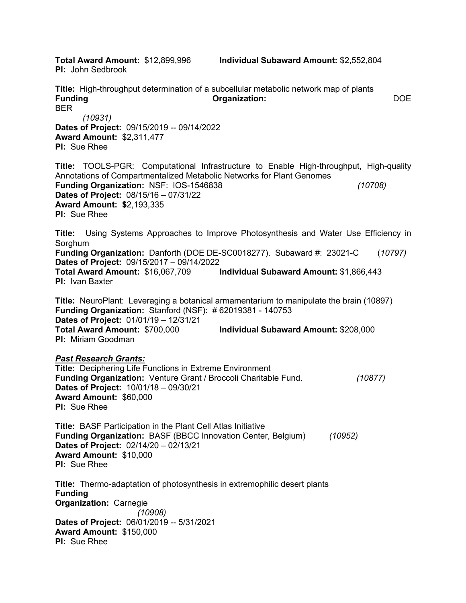**PI:** John Sedbrook

**Total Award Amount:** \$12,899,996 **Individual Subaward Amount:** \$2,552,804

**Title:** High-throughput determination of a subcellular metabolic network map of plants **Funding Organization:** DOE BER *(10931)* **Dates of Project:** 09/15/2019 -- 09/14/2022 **Award Amount:** \$2,311,477 **PI:** Sue Rhee **Title:** TOOLS-PGR: Computational Infrastructure to Enable High-throughput, High-quality Annotations of Compartmentalized Metabolic Networks for Plant Genomes **Funding Organization:** NSF: IOS-1546838 *(10708)* **Dates of Project:** 08/15/16 – 07/31/22 **Award Amount: \$**2,193,335 **PI:** Sue Rhee **Title:** Using Systems Approaches to Improve Photosynthesis and Water Use Efficiency in Sorghum **Funding Organization:** Danforth (DOE DE-SC0018277). Subaward #: 23021-C (*10797)* **Dates of Project:** 09/15/2017 – 09/14/2022 **Total Award Amount:** \$16,067,709 **Individual Subaward Amount:** \$1,866,443 **PI:** Ivan Baxter **Title:** NeuroPlant: Leveraging a botanical armamentarium to manipulate the brain (10897) **Funding Organization:** Stanford (NSF): # 62019381 - 140753 **Dates of Project:** 01/01/19 – 12/31/21 **Total Award Amount:** \$700,000 **Individual Subaward Amount:** \$208,000 **PI:** Miriam Goodman *Past Research Grants:* **Title:** Deciphering Life Functions in Extreme Environment **Funding Organization:** Venture Grant / Broccoli Charitable Fund. *(10877)* **Dates of Project:** 10/01/18 – 09/30/21 **Award Amount:** \$60,000 **PI:** Sue Rhee **Title:** BASF Participation in the Plant Cell Atlas Initiative **Funding Organization:** BASF (BBCC Innovation Center, Belgium) *(10952)* **Dates of Project:** 02/14/20 – 02/13/21 **Award Amount:** \$10,000 **PI:** Sue Rhee **Title:** Thermo-adaptation of photosynthesis in extremophilic desert plants **Funding Organization:** Carnegie *(10908)* **Dates of Project:** 06/01/2019 -- 5/31/2021 **Award Amount:** \$150,000 **PI:** Sue Rhee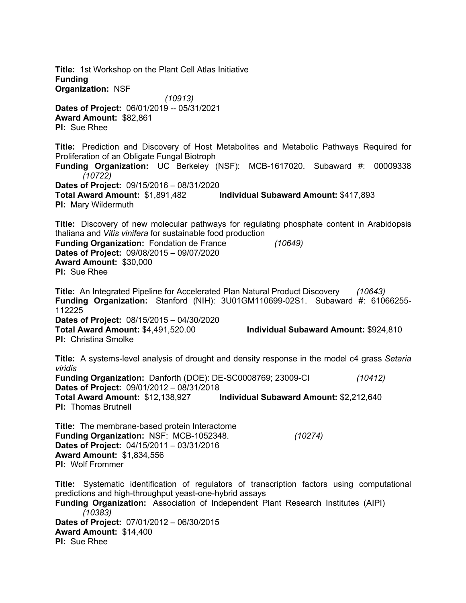**Title:** 1st Workshop on the Plant Cell Atlas Initiative **Funding Organization:** NSF *(10913)* **Dates of Project:** 06/01/2019 -- 05/31/2021 **Award Amount:** \$82,861 **PI:** Sue Rhee **Title:** Prediction and Discovery of Host Metabolites and Metabolic Pathways Required for Proliferation of an Obligate Fungal Biotroph **Funding Organization:** UC Berkeley (NSF): MCB-1617020. Subaward #: 00009338 *(10722)* **Dates of Project:** 09/15/2016 – 08/31/2020 **Total Award Amount:** \$1,891,482 **Individual Subaward Amount:** \$417,893 **PI:** Mary Wildermuth **Title:** Discovery of new molecular pathways for regulating phosphate content in Arabidopsis thaliana and *Vitis vinifera* for sustainable food production **Funding Organization:** Fondation de France *(10649)* **Dates of Project:** 09/08/2015 – 09/07/2020 **Award Amount:** \$30,000 **PI:** Sue Rhee **Title:** An Integrated Pipeline for Accelerated Plan Natural Product Discovery *(10643)* **Funding Organization:** Stanford (NIH): 3U01GM110699-02S1. Subaward #: 61066255- 112225 **Dates of Project:** 08/15/2015 – 04/30/2020 **Total Award Amount:** \$4,491,520.00 **Individual Subaward Amount:** \$924,810 **PI:** Christina Smolke **Title:** A systems-level analysis of drought and density response in the model c4 grass *Setaria viridis* **Funding Organization:** Danforth (DOE): DE-SC0008769; 23009-CI *(10412)* **Dates of Project:** 09/01/2012 – 08/31/2018 **Total Award Amount:** \$12,138,927 **Individual Subaward Amount:** \$2,212,640 **PI:** Thomas Brutnell **Title:** The membrane-based protein Interactome **Funding Organization:** NSF: MCB-1052348. *(10274)* **Dates of Project:** 04/15/2011 – 03/31/2016 **Award Amount:** \$1,834,556 **PI:** Wolf Frommer **Title:** Systematic identification of regulators of transcription factors using computational predictions and high-throughput yeast-one-hybrid assays **Funding Organization:** Association of Independent Plant Research Institutes (AIPI) *(10383)* **Dates of Project:** 07/01/2012 – 06/30/2015 **Award Amount:** \$14,400 **PI:** Sue Rhee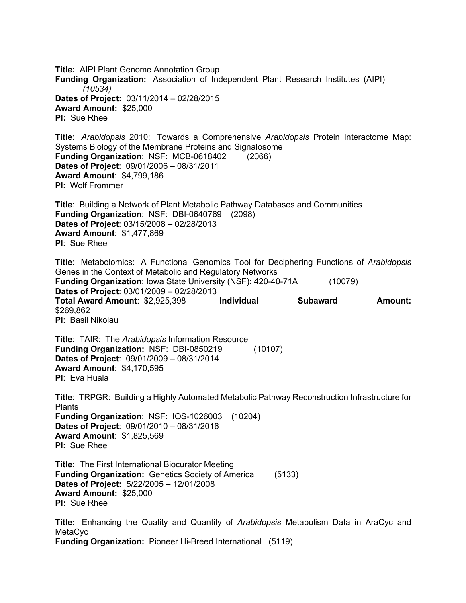**Title:** AIPI Plant Genome Annotation Group **Funding Organization:** Association of Independent Plant Research Institutes (AIPI) *(10534)* **Dates of Project:** 03/11/2014 – 02/28/2015 **Award Amount:** \$25,000 **PI:** Sue Rhee

**Title**: *Arabidopsis* 2010: Towards a Comprehensive *Arabidopsis* Protein Interactome Map: Systems Biology of the Membrane Proteins and Signalosome **Funding Organization**: NSF: MCB-0618402 (2066) **Dates of Project**: 09/01/2006 – 08/31/2011 **Award Amount**: \$4,799,186 **PI**: Wolf Frommer

**Title**: Building a Network of Plant Metabolic Pathway Databases and Communities **Funding Organization**: NSF: DBI-0640769 (2098) **Dates of Project**: 03/15/2008 – 02/28/2013 **Award Amount**: \$1,477,869 **PI**: Sue Rhee

**Title**: Metabolomics: A Functional Genomics Tool for Deciphering Functions of *Arabidopsis* Genes in the Context of Metabolic and Regulatory Networks **Funding Organization**: Iowa State University (NSF): 420-40-71A (10079) **Dates of Project**: 03/01/2009 – 02/28/2013 **Total Award Amount**: \$2,925,398 **Individual Subaward Amount:**  \$269,862 **PI**: Basil Nikolau

**Title**: TAIR: The *Arabidopsis* Information Resource **Funding Organization:** NSF: DBI-0850219 (10107) **Dates of Project**: 09/01/2009 – 08/31/2014 **Award Amount**: \$4,170,595 **PI**: Eva Huala

**Title**: TRPGR: Building a Highly Automated Metabolic Pathway Reconstruction Infrastructure for **Plants Funding Organization**: NSF: IOS-1026003 (10204) **Dates of Project**: 09/01/2010 – 08/31/2016 **Award Amount**: \$1,825,569 **PI**: Sue Rhee

**Title:** The First International Biocurator Meeting **Funding Organization:** Genetics Society of America (5133) **Dates of Project:** 5/22/2005 – 12/01/2008 **Award Amount:** \$25,000 **PI:** Sue Rhee

**Title:** Enhancing the Quality and Quantity of *Arabidopsis* Metabolism Data in AraCyc and **MetaCyc Funding Organization:** Pioneer Hi-Breed International (5119)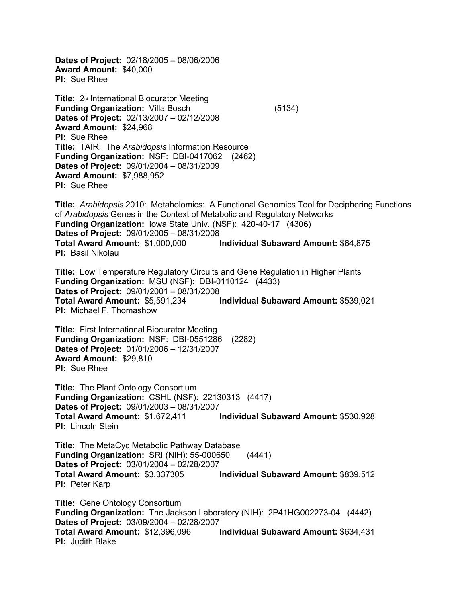**Dates of Project:** 02/18/2005 – 08/06/2006 **Award Amount:** \$40,000 **PI:** Sue Rhee

**Title:** 2<sup>*nd*</sup> International Biocurator Meeting **Funding Organization:** Villa Bosch (5134) **Dates of Project:** 02/13/2007 – 02/12/2008 **Award Amount:** \$24,968 **PI:** Sue Rhee **Title:** TAIR: The *Arabidopsis* Information Resource **Funding Organization:** NSF: DBI-0417062 (2462) **Dates of Project:** 09/01/2004 – 08/31/2009 **Award Amount:** \$7,988,952 **PI:** Sue Rhee

**Title:** *Arabidopsis* 2010: Metabolomics: A Functional Genomics Tool for Deciphering Functions of *Arabidopsis* Genes in the Context of Metabolic and Regulatory Networks **Funding Organization:** Iowa State Univ. (NSF): 420-40-17 (4306) **Dates of Project:** 09/01/2005 – 08/31/2008 **Total Award Amount:** \$1,000,000 **Individual Subaward Amount:** \$64,875 **PI:** Basil Nikolau

**Title:** Low Temperature Regulatory Circuits and Gene Regulation in Higher Plants **Funding Organization:** MSU (NSF): DBI-0110124 (4433) **Dates of Project:** 09/01/2001 – 08/31/2008 **Total Award Amount:** \$5,591,234 **Individual Subaward Amount:** \$539,021 **PI:** Michael F. Thomashow

**Title:** First International Biocurator Meeting **Funding Organization:** NSF: DBI-0551286 (2282) **Dates of Project:** 01/01/2006 – 12/31/2007 **Award Amount:** \$29,810 **PI:** Sue Rhee

**Title:** The Plant Ontology Consortium **Funding Organization:** CSHL (NSF): 22130313 (4417) **Dates of Project:** 09/01/2003 – 08/31/2007 **Total Award Amount:** \$1,672,411 **Individual Subaward Amount:** \$530,928 **PI:** Lincoln Stein

**Title:** The MetaCyc Metabolic Pathway Database **Funding Organization:** SRI (NIH): 55-000650 (4441) **Dates of Project:** 03/01/2004 – 02/28/2007 **Total Award Amount:** \$3,337305 **Individual Subaward Amount:** \$839,512 **PI:** Peter Karp

**Title:** Gene Ontology Consortium **Funding Organization:** The Jackson Laboratory (NIH): 2P41HG002273-04 (4442) **Dates of Project:** 03/09/2004 – 02/28/2007 **Total Award Amount:** \$12,396,096 **Individual Subaward Amount:** \$634,431 **PI:** Judith Blake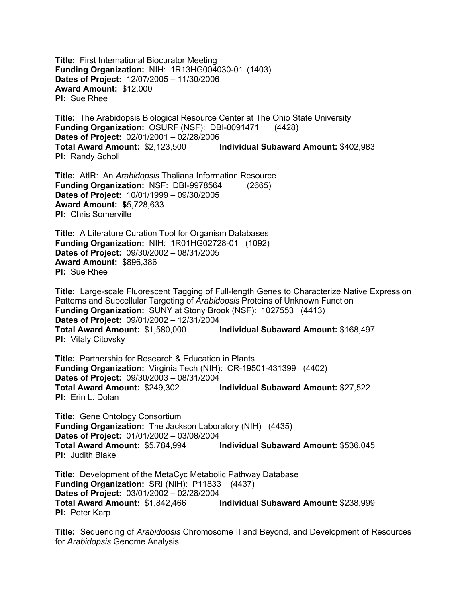**Title:** First International Biocurator Meeting **Funding Organization:** NIH: 1R13HG004030-01 (1403) **Dates of Project:** 12/07/2005 – 11/30/2006 **Award Amount:** \$12,000 **PI:** Sue Rhee

**Title:** The Arabidopsis Biological Resource Center at The Ohio State University **Funding Organization:** OSURF (NSF): DBI-0091471 (4428) **Dates of Project:** 02/01/2001 – 02/28/2006 **Total Award Amount:** \$2,123,500 **Individual Subaward Amount:** \$402,983 **PI:** Randy Scholl

**Title:** AtIR: An *Arabidopsis* Thaliana Information Resource **Funding Organization:** NSF: DBI-9978564 (2665) **Dates of Project:** 10/01/1999 – 09/30/2005 **Award Amount: \$**5,728,633 **PI:** Chris Somerville

**Title:** A Literature Curation Tool for Organism Databases **Funding Organization:** NIH: 1R01HG02728-01 (1092) **Dates of Project:** 09/30/2002 – 08/31/2005 **Award Amount:** \$896,386 **PI:** Sue Rhee

**Title:** Large-scale Fluorescent Tagging of Full-length Genes to Characterize Native Expression Patterns and Subcellular Targeting of *Arabidopsis* Proteins of Unknown Function **Funding Organization:** SUNY at Stony Brook (NSF): 1027553 (4413) **Dates of Project:** 09/01/2002 – 12/31/2004 **Total Award Amount:** \$1,580,000 **Individual Subaward Amount:** \$168,497 **PI:** Vitaly Citovsky

**Title:** Partnership for Research & Education in Plants **Funding Organization:** Virginia Tech (NIH): CR-19501-431399 (4402) **Dates of Project:** 09/30/2003 – 08/31/2004 **Total Award Amount:** \$249,302 **Individual Subaward Amount:** \$27,522 **PI:** Erin L. Dolan

**Title:** Gene Ontology Consortium **Funding Organization:** The Jackson Laboratory (NIH) (4435) **Dates of Project:** 01/01/2002 – 03/08/2004 **Total Award Amount:** \$5,784,994 **Individual Subaward Amount:** \$536,045 **PI:** Judith Blake

**Title:** Development of the MetaCyc Metabolic Pathway Database **Funding Organization:** SRI (NIH): P11833 (4437) **Dates of Project:** 03/01/2002 – 02/28/2004 **Total Award Amount:** \$1,842,466 **Individual Subaward Amount:** \$238,999 **PI:** Peter Karp

**Title:** Sequencing of *Arabidopsis* Chromosome II and Beyond, and Development of Resources for *Arabidopsis* Genome Analysis